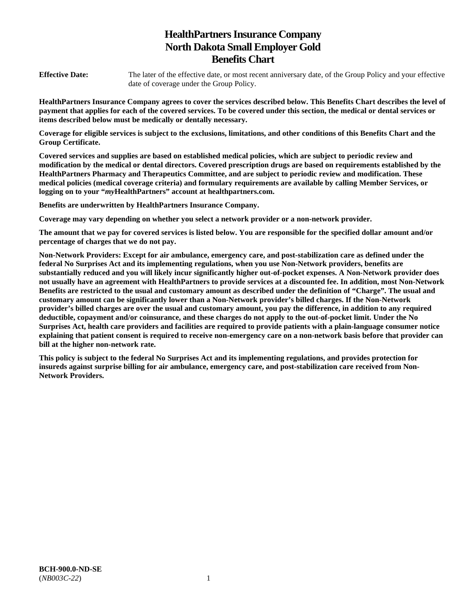# **HealthPartners Insurance Company North Dakota Small Employer Gold Benefits Chart**

**Effective Date:** The later of the effective date, or most recent anniversary date, of the Group Policy and your effective date of coverage under the Group Policy.

**HealthPartners Insurance Company agrees to cover the services described below. This Benefits Chart describes the level of payment that applies for each of the covered services. To be covered under this section, the medical or dental services or items described below must be medically or dentally necessary.** 

**Coverage for eligible services is subject to the exclusions, limitations, and other conditions of this Benefits Chart and the Group Certificate.** 

**Covered services and supplies are based on established medical policies, which are subject to periodic review and modification by the medical or dental directors. Covered prescription drugs are based on requirements established by the HealthPartners Pharmacy and Therapeutics Committee, and are subject to periodic review and modification. These medical policies (medical coverage criteria) and formulary requirements are available by calling Member Services, or logging on to your "***my***HealthPartners" account at [healthpartners.com.](http://healthpartners.com/)** 

**Benefits are underwritten by HealthPartners Insurance Company.** 

**Coverage may vary depending on whether you select a network provider or a non-network provider.** 

**The amount that we pay for covered services is listed below. You are responsible for the specified dollar amount and/or percentage of charges that we do not pay.** 

**Non-Network Providers: Except for air ambulance, emergency care, and post-stabilization care as defined under the federal No Surprises Act and its implementing regulations, when you use Non-Network providers, benefits are substantially reduced and you will likely incur significantly higher out-of-pocket expenses. A Non-Network provider does not usually have an agreement with HealthPartners to provide services at a discounted fee. In addition, most Non-Network Benefits are restricted to the usual and customary amount as described under the definition of "Charge". The usual and customary amount can be significantly lower than a Non-Network provider's billed charges. If the Non-Network provider's billed charges are over the usual and customary amount, you pay the difference, in addition to any required deductible, copayment and/or coinsurance, and these charges do not apply to the out-of-pocket limit. Under the No Surprises Act, health care providers and facilities are required to provide patients with a plain-language consumer notice explaining that patient consent is required to receive non-emergency care on a non-network basis before that provider can bill at the higher non-network rate.** 

**This policy is subject to the federal No Surprises Act and its implementing regulations, and provides protection for insureds against surprise billing for air ambulance, emergency care, and post-stabilization care received from Non-Network Providers.**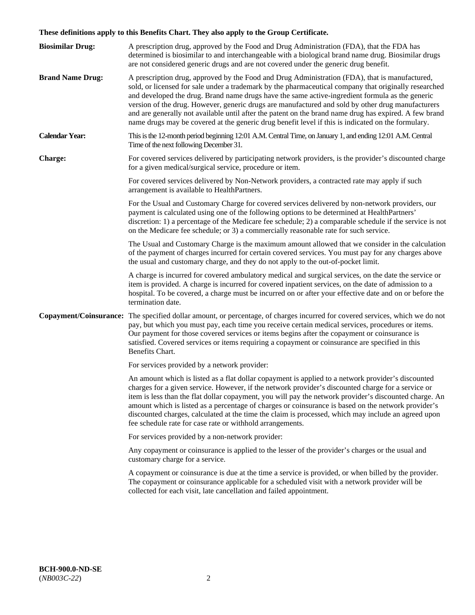# **These definitions apply to this Benefits Chart. They also apply to the Group Certificate.**

| <b>Biosimilar Drug:</b> | A prescription drug, approved by the Food and Drug Administration (FDA), that the FDA has<br>determined is biosimilar to and interchangeable with a biological brand name drug. Biosimilar drugs<br>are not considered generic drugs and are not covered under the generic drug benefit.                                                                                                                                                                                                                                                                                                                                        |
|-------------------------|---------------------------------------------------------------------------------------------------------------------------------------------------------------------------------------------------------------------------------------------------------------------------------------------------------------------------------------------------------------------------------------------------------------------------------------------------------------------------------------------------------------------------------------------------------------------------------------------------------------------------------|
| <b>Brand Name Drug:</b> | A prescription drug, approved by the Food and Drug Administration (FDA), that is manufactured,<br>sold, or licensed for sale under a trademark by the pharmaceutical company that originally researched<br>and developed the drug. Brand name drugs have the same active-ingredient formula as the generic<br>version of the drug. However, generic drugs are manufactured and sold by other drug manufacturers<br>and are generally not available until after the patent on the brand name drug has expired. A few brand<br>name drugs may be covered at the generic drug benefit level if this is indicated on the formulary. |
| <b>Calendar Year:</b>   | This is the 12-month period beginning 12:01 A.M. Central Time, on January 1, and ending 12:01 A.M. Central<br>Time of the next following December 31.                                                                                                                                                                                                                                                                                                                                                                                                                                                                           |
| <b>Charge:</b>          | For covered services delivered by participating network providers, is the provider's discounted charge<br>for a given medical/surgical service, procedure or item.                                                                                                                                                                                                                                                                                                                                                                                                                                                              |
|                         | For covered services delivered by Non-Network providers, a contracted rate may apply if such<br>arrangement is available to HealthPartners.                                                                                                                                                                                                                                                                                                                                                                                                                                                                                     |
|                         | For the Usual and Customary Charge for covered services delivered by non-network providers, our<br>payment is calculated using one of the following options to be determined at HealthPartners'<br>discretion: 1) a percentage of the Medicare fee schedule; 2) a comparable schedule if the service is not<br>on the Medicare fee schedule; or 3) a commercially reasonable rate for such service.                                                                                                                                                                                                                             |
|                         | The Usual and Customary Charge is the maximum amount allowed that we consider in the calculation<br>of the payment of charges incurred for certain covered services. You must pay for any charges above<br>the usual and customary charge, and they do not apply to the out-of-pocket limit.                                                                                                                                                                                                                                                                                                                                    |
|                         | A charge is incurred for covered ambulatory medical and surgical services, on the date the service or<br>item is provided. A charge is incurred for covered inpatient services, on the date of admission to a<br>hospital. To be covered, a charge must be incurred on or after your effective date and on or before the<br>termination date.                                                                                                                                                                                                                                                                                   |
|                         | Copayment/Coinsurance: The specified dollar amount, or percentage, of charges incurred for covered services, which we do not<br>pay, but which you must pay, each time you receive certain medical services, procedures or items.<br>Our payment for those covered services or items begins after the copayment or coinsurance is<br>satisfied. Covered services or items requiring a copayment or coinsurance are specified in this<br>Benefits Chart.                                                                                                                                                                         |
|                         | For services provided by a network provider:                                                                                                                                                                                                                                                                                                                                                                                                                                                                                                                                                                                    |
|                         | An amount which is listed as a flat dollar copayment is applied to a network provider's discounted<br>charges for a given service. However, if the network provider's discounted charge for a service or<br>item is less than the flat dollar copayment, you will pay the network provider's discounted charge. An<br>amount which is listed as a percentage of charges or coinsurance is based on the network provider's<br>discounted charges, calculated at the time the claim is processed, which may include an agreed upon<br>fee schedule rate for case rate or withhold arrangements.                                   |
|                         | For services provided by a non-network provider:                                                                                                                                                                                                                                                                                                                                                                                                                                                                                                                                                                                |
|                         | Any copayment or coinsurance is applied to the lesser of the provider's charges or the usual and<br>customary charge for a service.                                                                                                                                                                                                                                                                                                                                                                                                                                                                                             |
|                         | A copayment or coinsurance is due at the time a service is provided, or when billed by the provider.<br>The copayment or coinsurance applicable for a scheduled visit with a network provider will be<br>collected for each visit, late cancellation and failed appointment.                                                                                                                                                                                                                                                                                                                                                    |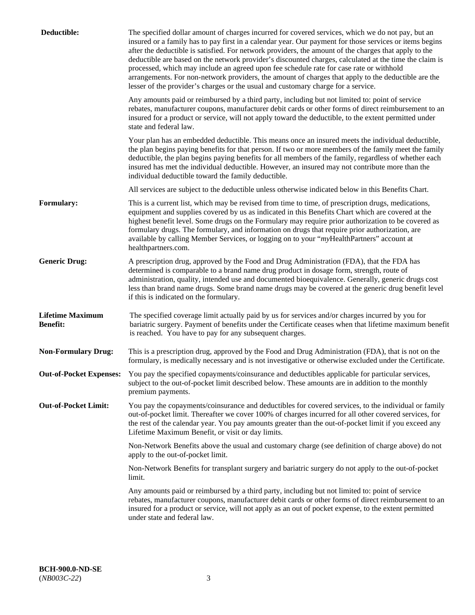| Deductible:                                | The specified dollar amount of charges incurred for covered services, which we do not pay, but an<br>insured or a family has to pay first in a calendar year. Our payment for those services or items begins<br>after the deductible is satisfied. For network providers, the amount of the charges that apply to the<br>deductible are based on the network provider's discounted charges, calculated at the time the claim is<br>processed, which may include an agreed upon fee schedule rate for case rate or withhold<br>arrangements. For non-network providers, the amount of charges that apply to the deductible are the<br>lesser of the provider's charges or the usual and customary charge for a service. |
|--------------------------------------------|------------------------------------------------------------------------------------------------------------------------------------------------------------------------------------------------------------------------------------------------------------------------------------------------------------------------------------------------------------------------------------------------------------------------------------------------------------------------------------------------------------------------------------------------------------------------------------------------------------------------------------------------------------------------------------------------------------------------|
|                                            | Any amounts paid or reimbursed by a third party, including but not limited to: point of service<br>rebates, manufacturer coupons, manufacturer debit cards or other forms of direct reimbursement to an<br>insured for a product or service, will not apply toward the deductible, to the extent permitted under<br>state and federal law.                                                                                                                                                                                                                                                                                                                                                                             |
|                                            | Your plan has an embedded deductible. This means once an insured meets the individual deductible,<br>the plan begins paying benefits for that person. If two or more members of the family meet the family<br>deductible, the plan begins paying benefits for all members of the family, regardless of whether each<br>insured has met the individual deductible. However, an insured may not contribute more than the<br>individual deductible toward the family deductible.                                                                                                                                                                                                                                          |
|                                            | All services are subject to the deductible unless otherwise indicated below in this Benefits Chart.                                                                                                                                                                                                                                                                                                                                                                                                                                                                                                                                                                                                                    |
| <b>Formulary:</b>                          | This is a current list, which may be revised from time to time, of prescription drugs, medications,<br>equipment and supplies covered by us as indicated in this Benefits Chart which are covered at the<br>highest benefit level. Some drugs on the Formulary may require prior authorization to be covered as<br>formulary drugs. The formulary, and information on drugs that require prior authorization, are<br>available by calling Member Services, or logging on to your "myHealthPartners" account at<br>healthpartners.com.                                                                                                                                                                                  |
| <b>Generic Drug:</b>                       | A prescription drug, approved by the Food and Drug Administration (FDA), that the FDA has<br>determined is comparable to a brand name drug product in dosage form, strength, route of<br>administration, quality, intended use and documented bioequivalence. Generally, generic drugs cost<br>less than brand name drugs. Some brand name drugs may be covered at the generic drug benefit level<br>if this is indicated on the formulary.                                                                                                                                                                                                                                                                            |
| <b>Lifetime Maximum</b><br><b>Benefit:</b> | The specified coverage limit actually paid by us for services and/or charges incurred by you for<br>bariatric surgery. Payment of benefits under the Certificate ceases when that lifetime maximum benefit<br>is reached. You have to pay for any subsequent charges.                                                                                                                                                                                                                                                                                                                                                                                                                                                  |
| <b>Non-Formulary Drug:</b>                 | This is a prescription drug, approved by the Food and Drug Administration (FDA), that is not on the<br>formulary, is medically necessary and is not investigative or otherwise excluded under the Certificate.                                                                                                                                                                                                                                                                                                                                                                                                                                                                                                         |
|                                            | Out-of-Pocket Expenses: You pay the specified copayments/coinsurance and deductibles applicable for particular services,<br>subject to the out-of-pocket limit described below. These amounts are in addition to the monthly<br>premium payments.                                                                                                                                                                                                                                                                                                                                                                                                                                                                      |
| <b>Out-of-Pocket Limit:</b>                | You pay the copayments/coinsurance and deductibles for covered services, to the individual or family<br>out-of-pocket limit. Thereafter we cover 100% of charges incurred for all other covered services, for<br>the rest of the calendar year. You pay amounts greater than the out-of-pocket limit if you exceed any<br>Lifetime Maximum Benefit, or visit or day limits.                                                                                                                                                                                                                                                                                                                                            |
|                                            | Non-Network Benefits above the usual and customary charge (see definition of charge above) do not<br>apply to the out-of-pocket limit.                                                                                                                                                                                                                                                                                                                                                                                                                                                                                                                                                                                 |
|                                            | Non-Network Benefits for transplant surgery and bariatric surgery do not apply to the out-of-pocket<br>limit.                                                                                                                                                                                                                                                                                                                                                                                                                                                                                                                                                                                                          |
|                                            | Any amounts paid or reimbursed by a third party, including but not limited to: point of service<br>rebates, manufacturer coupons, manufacturer debit cards or other forms of direct reimbursement to an<br>insured for a product or service, will not apply as an out of pocket expense, to the extent permitted<br>under state and federal law.                                                                                                                                                                                                                                                                                                                                                                       |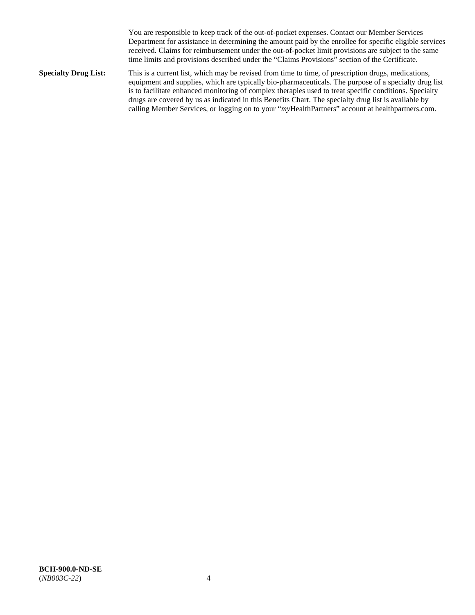You are responsible to keep track of the out-of-pocket expenses. Contact our Member Services Department for assistance in determining the amount paid by the enrollee for specific eligible services received. Claims for reimbursement under the out-of-pocket limit provisions are subject to the same time limits and provisions described under the "Claims Provisions" section of the Certificate.

**Specialty Drug List:** This is a current list, which may be revised from time to time, of prescription drugs, medications, equipment and supplies, which are typically bio-pharmaceuticals. The purpose of a specialty drug list is to facilitate enhanced monitoring of complex therapies used to treat specific conditions. Specialty drugs are covered by us as indicated in this Benefits Chart. The specialty drug list is available by calling Member Services, or logging on to your "*my*HealthPartners" account at [healthpartners.com.](http://www.healthpartners.com/)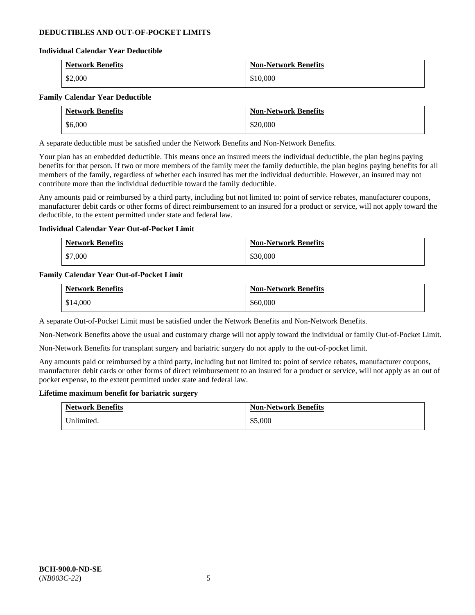# **DEDUCTIBLES AND OUT-OF-POCKET LIMITS**

### **Individual Calendar Year Deductible**

| <b>Network Benefits</b> | <b>Non-Network Benefits</b> |
|-------------------------|-----------------------------|
| \$2,000                 | \$10,000                    |

### **Family Calendar Year Deductible**

| <b>Network Benefits</b> | <b>Non-Network Benefits</b> |
|-------------------------|-----------------------------|
| \$6,000                 | \$20,000                    |

A separate deductible must be satisfied under the Network Benefits and Non-Network Benefits.

Your plan has an embedded deductible. This means once an insured meets the individual deductible, the plan begins paying benefits for that person. If two or more members of the family meet the family deductible, the plan begins paying benefits for all members of the family, regardless of whether each insured has met the individual deductible. However, an insured may not contribute more than the individual deductible toward the family deductible.

Any amounts paid or reimbursed by a third party, including but not limited to: point of service rebates, manufacturer coupons, manufacturer debit cards or other forms of direct reimbursement to an insured for a product or service, will not apply toward the deductible, to the extent permitted under state and federal law.

### **Individual Calendar Year Out-of-Pocket Limit**

| <b>Network Benefits</b> | <b>Non-Network Benefits</b> |
|-------------------------|-----------------------------|
| \$7,000                 | \$30,000                    |

### **Family Calendar Year Out-of-Pocket Limit**

| <b>Network Benefits</b> | <b>Non-Network Benefits</b> |
|-------------------------|-----------------------------|
| \$14,000                | \$60,000                    |

A separate Out-of-Pocket Limit must be satisfied under the Network Benefits and Non-Network Benefits.

Non-Network Benefits above the usual and customary charge will not apply toward the individual or family Out-of-Pocket Limit.

Non-Network Benefits for transplant surgery and bariatric surgery do not apply to the out-of-pocket limit.

Any amounts paid or reimbursed by a third party, including but not limited to: point of service rebates, manufacturer coupons, manufacturer debit cards or other forms of direct reimbursement to an insured for a product or service, will not apply as an out of pocket expense, to the extent permitted under state and federal law.

#### **Lifetime maximum benefit for bariatric surgery**

| <b>Network Benefits</b> | <b>Non-Network Benefits</b> |
|-------------------------|-----------------------------|
| Unlimited.              | \$5,000                     |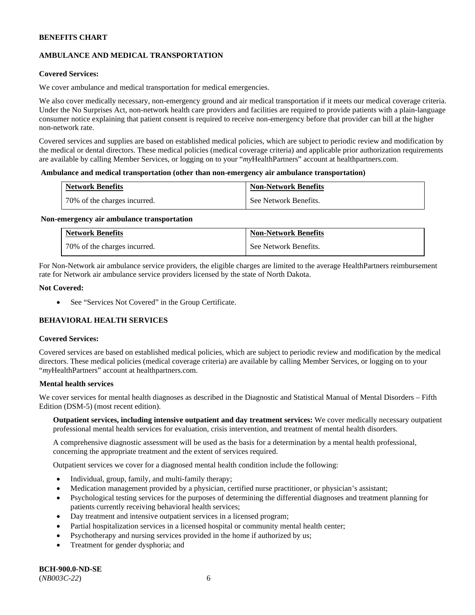# **AMBULANCE AND MEDICAL TRANSPORTATION**

### **Covered Services:**

We cover ambulance and medical transportation for medical emergencies.

We also cover medically necessary, non-emergency ground and air medical transportation if it meets our medical coverage criteria. Under the No Surprises Act, non-network health care providers and facilities are required to provide patients with a plain-language consumer notice explaining that patient consent is required to receive non-emergency before that provider can bill at the higher non-network rate.

Covered services and supplies are based on established medical policies, which are subject to periodic review and modification by the medical or dental directors. These medical policies (medical coverage criteria) and applicable prior authorization requirements are available by calling Member Services, or logging on to your "*my*HealthPartners" account a[t healthpartners.com.](http://www.healthpartners.com/)

#### **Ambulance and medical transportation (other than non-emergency air ambulance transportation)**

| <b>Network Benefits</b>      | <b>Non-Network Benefits</b> |
|------------------------------|-----------------------------|
| 70% of the charges incurred. | See Network Benefits.       |

#### **Non-emergency air ambulance transportation**

| <b>Network Benefits</b>      | <b>Non-Network Benefits</b> |
|------------------------------|-----------------------------|
| 70% of the charges incurred. | See Network Benefits.       |

For Non-Network air ambulance service providers, the eligible charges are limited to the average HealthPartners reimbursement rate for Network air ambulance service providers licensed by the state of North Dakota.

### **Not Covered:**

• See "Services Not Covered" in the Group Certificate.

# **BEHAVIORAL HEALTH SERVICES**

#### **Covered Services:**

Covered services are based on established medical policies, which are subject to periodic review and modification by the medical directors. These medical policies (medical coverage criteria) are available by calling Member Services, or logging on to your "*my*HealthPartners" account at [healthpartners.com.](http://healthpartners.com/)

### **Mental health services**

We cover services for mental health diagnoses as described in the Diagnostic and Statistical Manual of Mental Disorders - Fifth Edition (DSM-5) (most recent edition).

**Outpatient services, including intensive outpatient and day treatment services:** We cover medically necessary outpatient professional mental health services for evaluation, crisis intervention, and treatment of mental health disorders.

A comprehensive diagnostic assessment will be used as the basis for a determination by a mental health professional, concerning the appropriate treatment and the extent of services required.

Outpatient services we cover for a diagnosed mental health condition include the following:

- Individual, group, family, and multi-family therapy;
- Medication management provided by a physician, certified nurse practitioner, or physician's assistant;
- Psychological testing services for the purposes of determining the differential diagnoses and treatment planning for patients currently receiving behavioral health services;
- Day treatment and intensive outpatient services in a licensed program;
- Partial hospitalization services in a licensed hospital or community mental health center;
- Psychotherapy and nursing services provided in the home if authorized by us;
- Treatment for gender dysphoria; and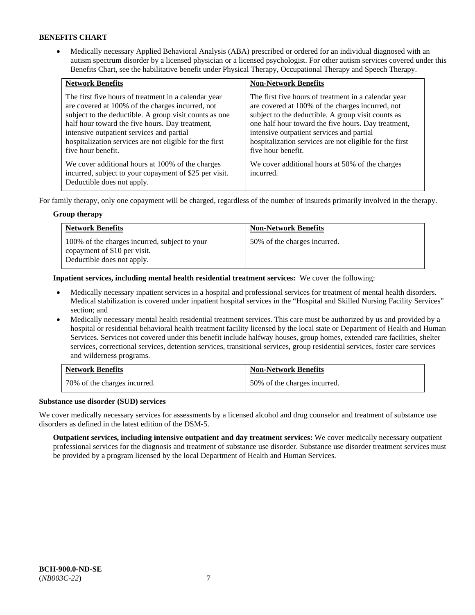• Medically necessary Applied Behavioral Analysis (ABA) prescribed or ordered for an individual diagnosed with an autism spectrum disorder by a licensed physician or a licensed psychologist. For other autism services covered under this Benefits Chart, see the habilitative benefit under Physical Therapy, Occupational Therapy and Speech Therapy.

| <b>Network Benefits</b>                                                                                                                                                                                                                                                                                                                             | <b>Non-Network Benefits</b>                                                                                                                                                                                                                                                                                                                         |
|-----------------------------------------------------------------------------------------------------------------------------------------------------------------------------------------------------------------------------------------------------------------------------------------------------------------------------------------------------|-----------------------------------------------------------------------------------------------------------------------------------------------------------------------------------------------------------------------------------------------------------------------------------------------------------------------------------------------------|
| The first five hours of treatment in a calendar year<br>are covered at 100% of the charges incurred, not<br>subject to the deductible. A group visit counts as one<br>half hour toward the five hours. Day treatment,<br>intensive outpatient services and partial<br>hospitalization services are not eligible for the first<br>five hour benefit. | The first five hours of treatment in a calendar year<br>are covered at 100% of the charges incurred, not<br>subject to the deductible. A group visit counts as<br>one half hour toward the five hours. Day treatment,<br>intensive outpatient services and partial<br>hospitalization services are not eligible for the first<br>five hour benefit. |
| We cover additional hours at 100% of the charges<br>incurred, subject to your copayment of \$25 per visit.<br>Deductible does not apply.                                                                                                                                                                                                            | We cover additional hours at 50% of the charges<br>incurred.                                                                                                                                                                                                                                                                                        |

For family therapy, only one copayment will be charged, regardless of the number of insureds primarily involved in the therapy.

### **Group therapy**

| <b>Network Benefits</b>                                                                                     | <b>Non-Network Benefits</b>  |
|-------------------------------------------------------------------------------------------------------------|------------------------------|
| 100% of the charges incurred, subject to your<br>copayment of \$10 per visit.<br>Deductible does not apply. | 50% of the charges incurred. |

**Inpatient services, including mental health residential treatment services:** We cover the following:

- Medically necessary inpatient services in a hospital and professional services for treatment of mental health disorders. Medical stabilization is covered under inpatient hospital services in the "Hospital and Skilled Nursing Facility Services" section; and
- Medically necessary mental health residential treatment services. This care must be authorized by us and provided by a hospital or residential behavioral health treatment facility licensed by the local state or Department of Health and Human Services. Services not covered under this benefit include halfway houses, group homes, extended care facilities, shelter services, correctional services, detention services, transitional services, group residential services, foster care services and wilderness programs.

| <b>Network Benefits</b>      | <b>Non-Network Benefits</b>  |
|------------------------------|------------------------------|
| 70% of the charges incurred. | 50% of the charges incurred. |

# **Substance use disorder (SUD) services**

We cover medically necessary services for assessments by a licensed alcohol and drug counselor and treatment of substance use disorders as defined in the latest edition of the DSM-5.

**Outpatient services, including intensive outpatient and day treatment services:** We cover medically necessary outpatient professional services for the diagnosis and treatment of substance use disorder. Substance use disorder treatment services must be provided by a program licensed by the local Department of Health and Human Services.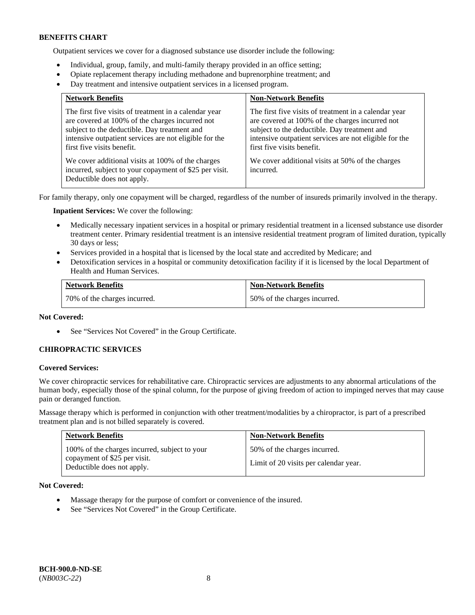Outpatient services we cover for a diagnosed substance use disorder include the following:

- Individual, group, family, and multi-family therapy provided in an office setting;
- Opiate replacement therapy including methadone and buprenorphine treatment; and
- Day treatment and intensive outpatient services in a licensed program.

| <b>Network Benefits</b>                                                                                                                                                                                                                          | <b>Non-Network Benefits</b>                                                                                                                                                                                                                      |
|--------------------------------------------------------------------------------------------------------------------------------------------------------------------------------------------------------------------------------------------------|--------------------------------------------------------------------------------------------------------------------------------------------------------------------------------------------------------------------------------------------------|
| The first five visits of treatment in a calendar year<br>are covered at 100% of the charges incurred not<br>subject to the deductible. Day treatment and<br>intensive outpatient services are not eligible for the<br>first five visits benefit. | The first five visits of treatment in a calendar year<br>are covered at 100% of the charges incurred not<br>subject to the deductible. Day treatment and<br>intensive outpatient services are not eligible for the<br>first five visits benefit. |
| We cover additional visits at 100% of the charges<br>incurred, subject to your copayment of \$25 per visit.<br>Deductible does not apply.                                                                                                        | We cover additional visits at 50% of the charges<br>incurred.                                                                                                                                                                                    |

For family therapy, only one copayment will be charged, regardless of the number of insureds primarily involved in the therapy.

**Inpatient Services:** We cover the following:

- Medically necessary inpatient services in a hospital or primary residential treatment in a licensed substance use disorder treatment center. Primary residential treatment is an intensive residential treatment program of limited duration, typically 30 days or less;
- Services provided in a hospital that is licensed by the local state and accredited by Medicare; and
- Detoxification services in a hospital or community detoxification facility if it is licensed by the local Department of Health and Human Services.

| <b>Network Benefits</b>      | <b>Non-Network Benefits</b>  |
|------------------------------|------------------------------|
| 70% of the charges incurred. | 50% of the charges incurred. |

# **Not Covered:**

• See "Services Not Covered" in the Group Certificate.

# **CHIROPRACTIC SERVICES**

#### **Covered Services:**

We cover chiropractic services for rehabilitative care. Chiropractic services are adjustments to any abnormal articulations of the human body, especially those of the spinal column, for the purpose of giving freedom of action to impinged nerves that may cause pain or deranged function.

Massage therapy which is performed in conjunction with other treatment/modalities by a chiropractor, is part of a prescribed treatment plan and is not billed separately is covered.

| <b>Network Benefits</b>                                                                                     | <b>Non-Network Benefits</b>                                           |
|-------------------------------------------------------------------------------------------------------------|-----------------------------------------------------------------------|
| 100% of the charges incurred, subject to your<br>copayment of \$25 per visit.<br>Deductible does not apply. | 50% of the charges incurred.<br>Limit of 20 visits per calendar year. |

**Not Covered:** 

- Massage therapy for the purpose of comfort or convenience of the insured.
- See "Services Not Covered" in the Group Certificate.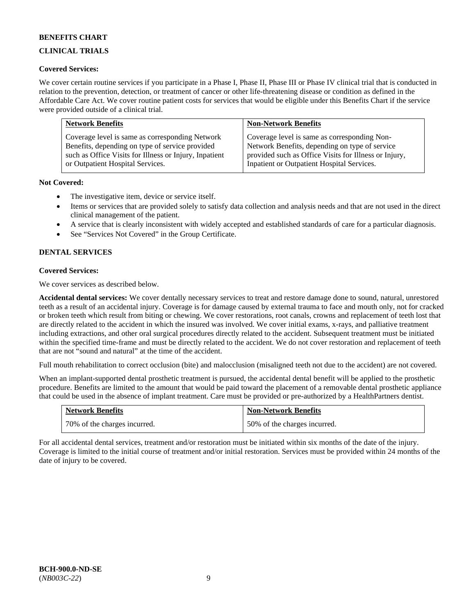# **CLINICAL TRIALS**

# **Covered Services:**

We cover certain routine services if you participate in a Phase I, Phase II, Phase III or Phase IV clinical trial that is conducted in relation to the prevention, detection, or treatment of cancer or other life-threatening disease or condition as defined in the Affordable Care Act. We cover routine patient costs for services that would be eligible under this Benefits Chart if the service were provided outside of a clinical trial.

| <b>Network Benefits</b>                                | <b>Non-Network Benefits</b>                           |
|--------------------------------------------------------|-------------------------------------------------------|
| Coverage level is same as corresponding Network        | Coverage level is same as corresponding Non-          |
| Benefits, depending on type of service provided        | Network Benefits, depending on type of service        |
| such as Office Visits for Illness or Injury, Inpatient | provided such as Office Visits for Illness or Injury, |
| or Outpatient Hospital Services.                       | Inpatient or Outpatient Hospital Services.            |

# **Not Covered:**

- The investigative item, device or service itself.
- Items or services that are provided solely to satisfy data collection and analysis needs and that are not used in the direct clinical management of the patient.
- A service that is clearly inconsistent with widely accepted and established standards of care for a particular diagnosis.
- See "Services Not Covered" in the Group Certificate.

# **DENTAL SERVICES**

# **Covered Services:**

We cover services as described below.

**Accidental dental services:** We cover dentally necessary services to treat and restore damage done to sound, natural, unrestored teeth as a result of an accidental injury. Coverage is for damage caused by external trauma to face and mouth only, not for cracked or broken teeth which result from biting or chewing. We cover restorations, root canals, crowns and replacement of teeth lost that are directly related to the accident in which the insured was involved. We cover initial exams, x-rays, and palliative treatment including extractions, and other oral surgical procedures directly related to the accident. Subsequent treatment must be initiated within the specified time-frame and must be directly related to the accident. We do not cover restoration and replacement of teeth that are not "sound and natural" at the time of the accident.

Full mouth rehabilitation to correct occlusion (bite) and malocclusion (misaligned teeth not due to the accident) are not covered.

When an implant-supported dental prosthetic treatment is pursued, the accidental dental benefit will be applied to the prosthetic procedure. Benefits are limited to the amount that would be paid toward the placement of a removable dental prosthetic appliance that could be used in the absence of implant treatment. Care must be provided or pre-authorized by a HealthPartners dentist.

| <b>Network Benefits</b>      | <b>Non-Network Benefits</b>  |
|------------------------------|------------------------------|
| 70% of the charges incurred. | 50% of the charges incurred. |

For all accidental dental services, treatment and/or restoration must be initiated within six months of the date of the injury. Coverage is limited to the initial course of treatment and/or initial restoration. Services must be provided within 24 months of the date of injury to be covered.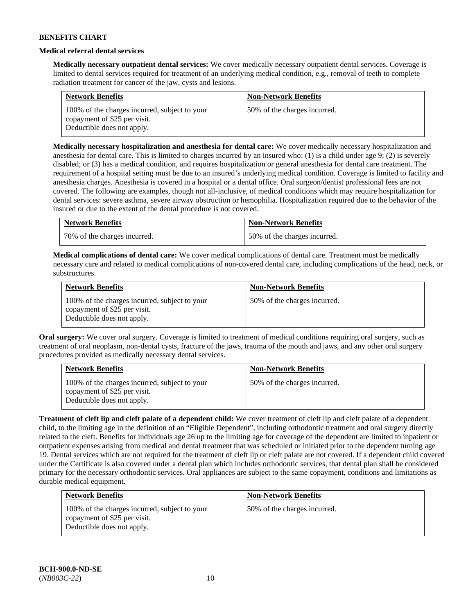### **Medical referral dental services**

**Medically necessary outpatient dental services:** We cover medically necessary outpatient dental services. Coverage is limited to dental services required for treatment of an underlying medical condition, e.g., removal of teeth to complete radiation treatment for cancer of the jaw, cysts and lesions.

| <b>Network Benefits</b>                                                                                     | <b>Non-Network Benefits</b>  |
|-------------------------------------------------------------------------------------------------------------|------------------------------|
| 100% of the charges incurred, subject to your<br>copayment of \$25 per visit.<br>Deductible does not apply. | 50% of the charges incurred. |

**Medically necessary hospitalization and anesthesia for dental care:** We cover medically necessary hospitalization and anesthesia for dental care. This is limited to charges incurred by an insured who: (1) is a child under age 9; (2) is severely disabled; or (3) has a medical condition, and requires hospitalization or general anesthesia for dental care treatment. The requirement of a hospital setting must be due to an insured's underlying medical condition. Coverage is limited to facility and anesthesia charges. Anesthesia is covered in a hospital or a dental office. Oral surgeon/dentist professional fees are not covered. The following are examples, though not all-inclusive, of medical conditions which may require hospitalization for dental services: severe asthma, severe airway obstruction or hemophilia. Hospitalization required due to the behavior of the insured or due to the extent of the dental procedure is not covered.

| <b>Network Benefits</b>      | <b>Non-Network Benefits</b>  |
|------------------------------|------------------------------|
| 70% of the charges incurred. | 50% of the charges incurred. |

**Medical complications of dental care:** We cover medical complications of dental care. Treatment must be medically necessary care and related to medical complications of non-covered dental care, including complications of the head, neck, or substructures.

| <b>Network Benefits</b>                                                                                     | <b>Non-Network Benefits</b>  |
|-------------------------------------------------------------------------------------------------------------|------------------------------|
| 100% of the charges incurred, subject to your<br>copayment of \$25 per visit.<br>Deductible does not apply. | 50% of the charges incurred. |

**Oral surgery:** We cover oral surgery. Coverage is limited to treatment of medical conditions requiring oral surgery, such as treatment of oral neoplasm, non-dental cysts, fracture of the jaws, trauma of the mouth and jaws, and any other oral surgery procedures provided as medically necessary dental services.

| <b>Network Benefits</b>                                                                                     | <b>Non-Network Benefits</b>  |
|-------------------------------------------------------------------------------------------------------------|------------------------------|
| 100% of the charges incurred, subject to your<br>copayment of \$25 per visit.<br>Deductible does not apply. | 50% of the charges incurred. |

**Treatment of cleft lip and cleft palate of a dependent child:** We cover treatment of cleft lip and cleft palate of a dependent child, to the limiting age in the definition of an "Eligible Dependent", including orthodontic treatment and oral surgery directly related to the cleft. Benefits for individuals age 26 up to the limiting age for coverage of the dependent are limited to inpatient or outpatient expenses arising from medical and dental treatment that was scheduled or initiated prior to the dependent turning age 19. Dental services which are not required for the treatment of cleft lip or cleft palate are not covered. If a dependent child covered under the Certificate is also covered under a dental plan which includes orthodontic services, that dental plan shall be considered primary for the necessary orthodontic services. Oral appliances are subject to the same copayment, conditions and limitations as durable medical equipment.

| <b>Network Benefits</b>                                                                                     | <b>Non-Network Benefits</b>  |
|-------------------------------------------------------------------------------------------------------------|------------------------------|
| 100% of the charges incurred, subject to your<br>copayment of \$25 per visit.<br>Deductible does not apply. | 50% of the charges incurred. |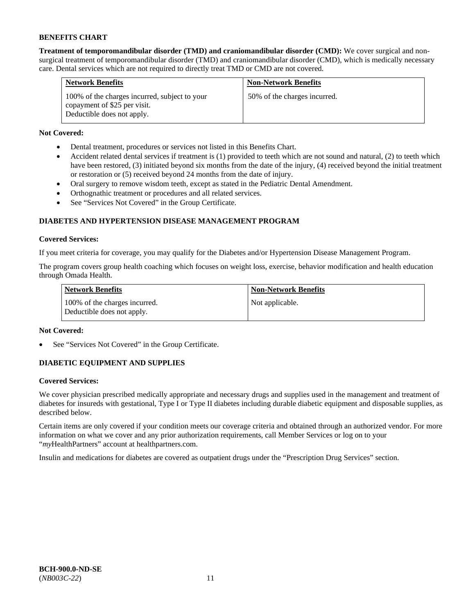**Treatment of temporomandibular disorder (TMD) and craniomandibular disorder (CMD):** We cover surgical and nonsurgical treatment of temporomandibular disorder (TMD) and craniomandibular disorder (CMD), which is medically necessary care. Dental services which are not required to directly treat TMD or CMD are not covered.

| <b>Network Benefits</b>                                                                                     | <b>Non-Network Benefits</b>  |
|-------------------------------------------------------------------------------------------------------------|------------------------------|
| 100% of the charges incurred, subject to your<br>copayment of \$25 per visit.<br>Deductible does not apply. | 50% of the charges incurred. |

# **Not Covered:**

- Dental treatment, procedures or services not listed in this Benefits Chart.
- Accident related dental services if treatment is (1) provided to teeth which are not sound and natural, (2) to teeth which have been restored, (3) initiated beyond six months from the date of the injury, (4) received beyond the initial treatment or restoration or (5) received beyond 24 months from the date of injury.
- Oral surgery to remove wisdom teeth, except as stated in the Pediatric Dental Amendment.
- Orthognathic treatment or procedures and all related services.
- See "Services Not Covered" in the Group Certificate.

# **DIABETES AND HYPERTENSION DISEASE MANAGEMENT PROGRAM**

# **Covered Services:**

If you meet criteria for coverage, you may qualify for the Diabetes and/or Hypertension Disease Management Program.

The program covers group health coaching which focuses on weight loss, exercise, behavior modification and health education through Omada Health.

| <b>Network Benefits</b>                                     | <b>Non-Network Benefits</b> |
|-------------------------------------------------------------|-----------------------------|
| 100% of the charges incurred.<br>Deductible does not apply. | Not applicable.             |

# **Not Covered:**

See "Services Not Covered" in the Group Certificate.

# **DIABETIC EQUIPMENT AND SUPPLIES**

# **Covered Services:**

We cover physician prescribed medically appropriate and necessary drugs and supplies used in the management and treatment of diabetes for insureds with gestational, Type I or Type II diabetes including durable diabetic equipment and disposable supplies, as described below.

Certain items are only covered if your condition meets our coverage criteria and obtained through an authorized vendor. For more information on what we cover and any prior authorization requirements, call Member Services or log on to your "*my*HealthPartners" account at [healthpartners.com.](http://www.healthpartners.com/)

Insulin and medications for diabetes are covered as outpatient drugs under the "Prescription Drug Services" section.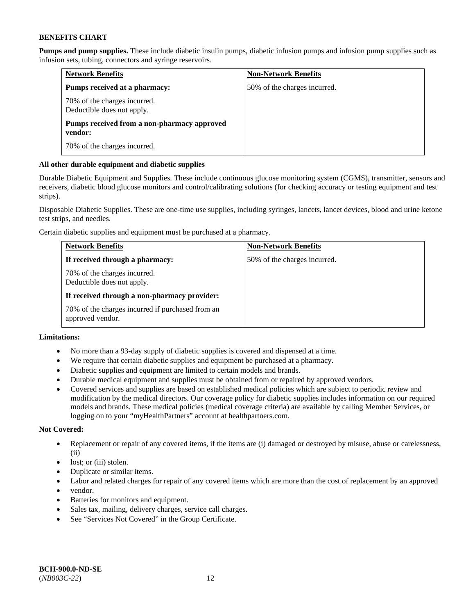**Pumps and pump supplies.** These include diabetic insulin pumps, diabetic infusion pumps and infusion pump supplies such as infusion sets, tubing, connectors and syringe reservoirs.

| <b>Network Benefits</b>                                    | <b>Non-Network Benefits</b>  |
|------------------------------------------------------------|------------------------------|
| Pumps received at a pharmacy:                              | 50% of the charges incurred. |
| 70% of the charges incurred.<br>Deductible does not apply. |                              |
| Pumps received from a non-pharmacy approved<br>vendor:     |                              |
| 70% of the charges incurred.                               |                              |

# **All other durable equipment and diabetic supplies**

Durable Diabetic Equipment and Supplies. These include continuous glucose monitoring system (CGMS), transmitter, sensors and receivers, diabetic blood glucose monitors and control/calibrating solutions (for checking accuracy or testing equipment and test strips).

Disposable Diabetic Supplies. These are one-time use supplies, including syringes, lancets, lancet devices, blood and urine ketone test strips, and needles.

Certain diabetic supplies and equipment must be purchased at a pharmacy.

| <b>Network Benefits</b>                                              | <b>Non-Network Benefits</b>  |
|----------------------------------------------------------------------|------------------------------|
| If received through a pharmacy:                                      | 50% of the charges incurred. |
| 70% of the charges incurred.<br>Deductible does not apply.           |                              |
| If received through a non-pharmacy provider:                         |                              |
| 70% of the charges incurred if purchased from an<br>approved vendor. |                              |

# **Limitations:**

- No more than a 93-day supply of diabetic supplies is covered and dispensed at a time.
- We require that certain diabetic supplies and equipment be purchased at a pharmacy.
- Diabetic supplies and equipment are limited to certain models and brands.
- Durable medical equipment and supplies must be obtained from or repaired by approved vendors.
- Covered services and supplies are based on established medical policies which are subject to periodic review and modification by the medical directors. Our coverage policy for diabetic supplies includes information on our required models and brands. These medical policies (medical coverage criteria) are available by calling Member Services, or logging on to your "myHealthPartners" account a[t healthpartners.com.](http://www.healthpartners.com/)

# **Not Covered:**

- Replacement or repair of any covered items, if the items are (i) damaged or destroyed by misuse, abuse or carelessness, (ii)
- lost; or (iii) stolen.
- Duplicate or similar items.
- Labor and related charges for repair of any covered items which are more than the cost of replacement by an approved
- vendor.
- Batteries for monitors and equipment.
- Sales tax, mailing, delivery charges, service call charges.
- See "Services Not Covered" in the Group Certificate.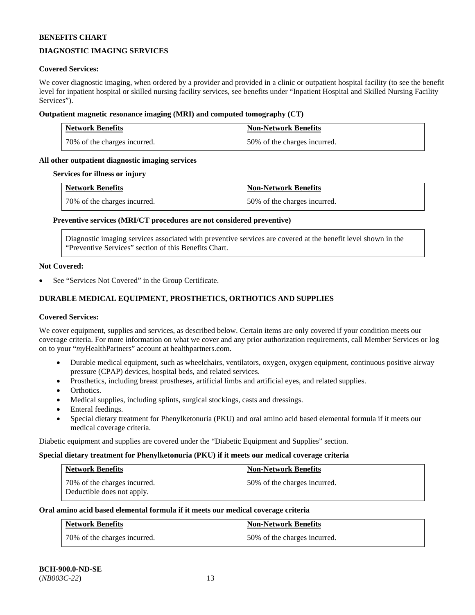# **DIAGNOSTIC IMAGING SERVICES**

### **Covered Services:**

We cover diagnostic imaging, when ordered by a provider and provided in a clinic or outpatient hospital facility (to see the benefit level for inpatient hospital or skilled nursing facility services, see benefits under "Inpatient Hospital and Skilled Nursing Facility Services").

### **Outpatient magnetic resonance imaging (MRI) and computed tomography (CT)**

| <b>Network Benefits</b>      | <b>Non-Network Benefits</b>  |
|------------------------------|------------------------------|
| 70% of the charges incurred. | 50% of the charges incurred. |

# **All other outpatient diagnostic imaging services**

#### **Services for illness or injury**

| <b>Network Benefits</b>      | <b>Non-Network Benefits</b>  |
|------------------------------|------------------------------|
| 70% of the charges incurred. | 50% of the charges incurred. |

### **Preventive services (MRI/CT procedures are not considered preventive)**

Diagnostic imaging services associated with preventive services are covered at the benefit level shown in the "Preventive Services" section of this Benefits Chart.

#### **Not Covered:**

See "Services Not Covered" in the Group Certificate.

# **DURABLE MEDICAL EQUIPMENT, PROSTHETICS, ORTHOTICS AND SUPPLIES**

#### **Covered Services:**

We cover equipment, supplies and services, as described below. Certain items are only covered if your condition meets our coverage criteria. For more information on what we cover and any prior authorization requirements, call Member Services or log on to your "*my*HealthPartners" account at [healthpartners.com.](http://www.healthpartners.com/)

- Durable medical equipment, such as wheelchairs, ventilators, oxygen, oxygen equipment, continuous positive airway pressure (CPAP) devices, hospital beds, and related services.
- Prosthetics, including breast prostheses, artificial limbs and artificial eyes, and related supplies.
- Orthotics.
- Medical supplies, including splints, surgical stockings, casts and dressings.
- Enteral feedings.
- Special dietary treatment for Phenylketonuria (PKU) and oral amino acid based elemental formula if it meets our medical coverage criteria.

Diabetic equipment and supplies are covered under the "Diabetic Equipment and Supplies" section.

#### **Special dietary treatment for Phenylketonuria (PKU) if it meets our medical coverage criteria**

| Network Benefits                                           | <b>Non-Network Benefits</b>  |
|------------------------------------------------------------|------------------------------|
| 70% of the charges incurred.<br>Deductible does not apply. | 50% of the charges incurred. |

#### **Oral amino acid based elemental formula if it meets our medical coverage criteria**

| <b>Network Benefits</b>      | <b>Non-Network Benefits</b>  |
|------------------------------|------------------------------|
| 70% of the charges incurred. | 50% of the charges incurred. |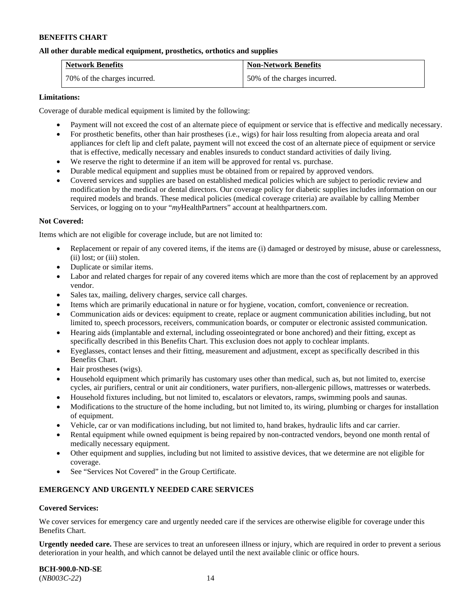### **All other durable medical equipment, prosthetics, orthotics and supplies**

| <b>Network Benefits</b>      | <b>Non-Network Benefits</b>  |
|------------------------------|------------------------------|
| 70% of the charges incurred. | 50% of the charges incurred. |

### **Limitations:**

Coverage of durable medical equipment is limited by the following:

- Payment will not exceed the cost of an alternate piece of equipment or service that is effective and medically necessary.
- For prosthetic benefits, other than hair prostheses (i.e., wigs) for hair loss resulting from alopecia areata and oral appliances for cleft lip and cleft palate, payment will not exceed the cost of an alternate piece of equipment or service that is effective, medically necessary and enables insureds to conduct standard activities of daily living.
- We reserve the right to determine if an item will be approved for rental vs. purchase.
- Durable medical equipment and supplies must be obtained from or repaired by approved vendors.
- Covered services and supplies are based on established medical policies which are subject to periodic review and modification by the medical or dental directors. Our coverage policy for diabetic supplies includes information on our required models and brands. These medical policies (medical coverage criteria) are available by calling Member Services, or logging on to your "*my*HealthPartners" account at [healthpartners.com.](http://www.healthpartners.com/)

### **Not Covered:**

Items which are not eligible for coverage include, but are not limited to:

- Replacement or repair of any covered items, if the items are (i) damaged or destroyed by misuse, abuse or carelessness, (ii) lost; or (iii) stolen.
- Duplicate or similar items.
- Labor and related charges for repair of any covered items which are more than the cost of replacement by an approved vendor.
- Sales tax, mailing, delivery charges, service call charges.
- Items which are primarily educational in nature or for hygiene, vocation, comfort, convenience or recreation.
- Communication aids or devices: equipment to create, replace or augment communication abilities including, but not limited to, speech processors, receivers, communication boards, or computer or electronic assisted communication.
- Hearing aids (implantable and external, including osseointegrated or bone anchored) and their fitting, except as specifically described in this Benefits Chart. This exclusion does not apply to cochlear implants.
- Eyeglasses, contact lenses and their fitting, measurement and adjustment, except as specifically described in this Benefits Chart.
- Hair prostheses (wigs).
- Household equipment which primarily has customary uses other than medical, such as, but not limited to, exercise cycles, air purifiers, central or unit air conditioners, water purifiers, non-allergenic pillows, mattresses or waterbeds.
- Household fixtures including, but not limited to, escalators or elevators, ramps, swimming pools and saunas.
- Modifications to the structure of the home including, but not limited to, its wiring, plumbing or charges for installation of equipment.
- Vehicle, car or van modifications including, but not limited to, hand brakes, hydraulic lifts and car carrier.
- Rental equipment while owned equipment is being repaired by non-contracted vendors, beyond one month rental of medically necessary equipment.
- Other equipment and supplies, including but not limited to assistive devices, that we determine are not eligible for coverage.
- See "Services Not Covered" in the Group Certificate.

# **EMERGENCY AND URGENTLY NEEDED CARE SERVICES**

#### **Covered Services:**

We cover services for emergency care and urgently needed care if the services are otherwise eligible for coverage under this Benefits Chart.

**Urgently needed care.** These are services to treat an unforeseen illness or injury, which are required in order to prevent a serious deterioration in your health, and which cannot be delayed until the next available clinic or office hours.

**BCH-900.0-ND-SE** (*NB003C-22*) 14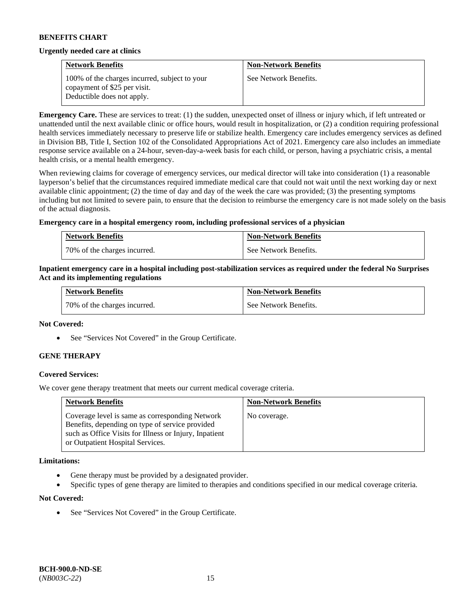### **Urgently needed care at clinics**

| <b>Network Benefits</b>                                                       | <b>Non-Network Benefits</b> |
|-------------------------------------------------------------------------------|-----------------------------|
| 100% of the charges incurred, subject to your<br>copayment of \$25 per visit. | See Network Benefits.       |
| Deductible does not apply.                                                    |                             |

**Emergency Care.** These are services to treat: (1) the sudden, unexpected onset of illness or injury which, if left untreated or unattended until the next available clinic or office hours, would result in hospitalization, or (2) a condition requiring professional health services immediately necessary to preserve life or stabilize health. Emergency care includes emergency services as defined in Division BB, Title I, Section 102 of the Consolidated Appropriations Act of 2021. Emergency care also includes an immediate response service available on a 24-hour, seven-day-a-week basis for each child, or person, having a psychiatric crisis, a mental health crisis, or a mental health emergency.

When reviewing claims for coverage of emergency services, our medical director will take into consideration (1) a reasonable layperson's belief that the circumstances required immediate medical care that could not wait until the next working day or next available clinic appointment; (2) the time of day and day of the week the care was provided; (3) the presenting symptoms including but not limited to severe pain, to ensure that the decision to reimburse the emergency care is not made solely on the basis of the actual diagnosis.

### **Emergency care in a hospital emergency room, including professional services of a physician**

| <b>Network Benefits</b>        | <b>Non-Network Benefits</b> |
|--------------------------------|-----------------------------|
| 1 70% of the charges incurred. | See Network Benefits.       |

### **Inpatient emergency care in a hospital including post-stabilization services as required under the federal No Surprises Act and its implementing regulations**

| <b>Network Benefits</b>      | <b>Non-Network Benefits</b> |
|------------------------------|-----------------------------|
| 70% of the charges incurred. | See Network Benefits.       |

#### **Not Covered:**

• See "Services Not Covered" in the Group Certificate.

# **GENE THERAPY**

# **Covered Services:**

We cover gene therapy treatment that meets our current medical coverage criteria.

| <b>Network Benefits</b>                                                                                                                                                                          | <b>Non-Network Benefits</b> |
|--------------------------------------------------------------------------------------------------------------------------------------------------------------------------------------------------|-----------------------------|
| Coverage level is same as corresponding Network<br>Benefits, depending on type of service provided<br>such as Office Visits for Illness or Injury, Inpatient<br>or Outpatient Hospital Services. | No coverage.                |

#### **Limitations:**

- Gene therapy must be provided by a designated provider.
- Specific types of gene therapy are limited to therapies and conditions specified in our medical coverage criteria.

#### **Not Covered:**

See "Services Not Covered" in the Group Certificate.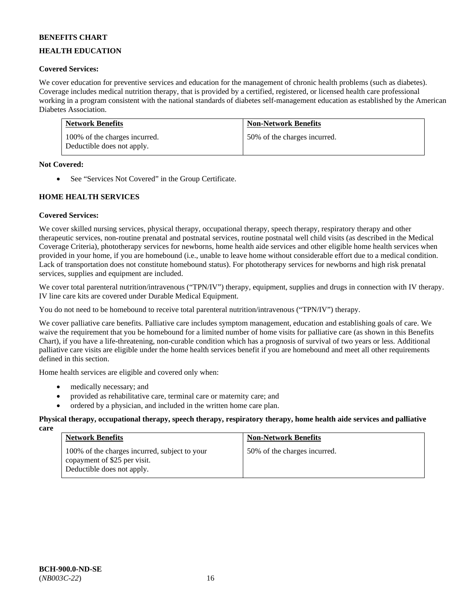# **HEALTH EDUCATION**

# **Covered Services:**

We cover education for preventive services and education for the management of chronic health problems (such as diabetes). Coverage includes medical nutrition therapy, that is provided by a certified, registered, or licensed health care professional working in a program consistent with the national standards of diabetes self-management education as established by the American Diabetes Association.

| <b>Network Benefits</b>                                     | <b>Non-Network Benefits</b>  |
|-------------------------------------------------------------|------------------------------|
| 100% of the charges incurred.<br>Deductible does not apply. | 50% of the charges incurred. |

### **Not Covered:**

• See "Services Not Covered" in the Group Certificate.

# **HOME HEALTH SERVICES**

# **Covered Services:**

We cover skilled nursing services, physical therapy, occupational therapy, speech therapy, respiratory therapy and other therapeutic services, non-routine prenatal and postnatal services, routine postnatal well child visits (as described in the Medical Coverage Criteria), phototherapy services for newborns, home health aide services and other eligible home health services when provided in your home, if you are homebound (i.e., unable to leave home without considerable effort due to a medical condition. Lack of transportation does not constitute homebound status). For phototherapy services for newborns and high risk prenatal services, supplies and equipment are included.

We cover total parenteral nutrition/intravenous ("TPN/IV") therapy, equipment, supplies and drugs in connection with IV therapy. IV line care kits are covered under Durable Medical Equipment.

You do not need to be homebound to receive total parenteral nutrition/intravenous ("TPN/IV") therapy.

We cover palliative care benefits. Palliative care includes symptom management, education and establishing goals of care. We waive the requirement that you be homebound for a limited number of home visits for palliative care (as shown in this Benefits Chart), if you have a life-threatening, non-curable condition which has a prognosis of survival of two years or less. Additional palliative care visits are eligible under the home health services benefit if you are homebound and meet all other requirements defined in this section.

Home health services are eligible and covered only when:

- medically necessary; and
- provided as rehabilitative care, terminal care or maternity care; and
- ordered by a physician, and included in the written home care plan.

#### **Physical therapy, occupational therapy, speech therapy, respiratory therapy, home health aide services and palliative care**

| <b>Network Benefits</b>                                                                                     | <b>Non-Network Benefits</b>  |
|-------------------------------------------------------------------------------------------------------------|------------------------------|
| 100% of the charges incurred, subject to your<br>copayment of \$25 per visit.<br>Deductible does not apply. | 50% of the charges incurred. |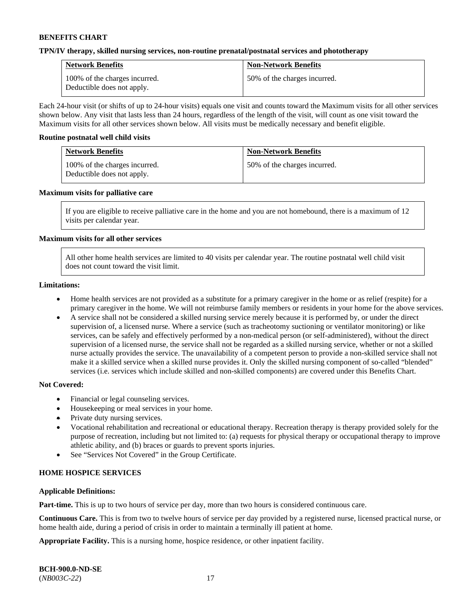### **TPN/IV therapy, skilled nursing services, non-routine prenatal/postnatal services and phototherapy**

| <b>Network Benefits</b>                                     | <b>Non-Network Benefits</b>  |
|-------------------------------------------------------------|------------------------------|
| 100% of the charges incurred.<br>Deductible does not apply. | 50% of the charges incurred. |

Each 24-hour visit (or shifts of up to 24-hour visits) equals one visit and counts toward the Maximum visits for all other services shown below. Any visit that lasts less than 24 hours, regardless of the length of the visit, will count as one visit toward the Maximum visits for all other services shown below. All visits must be medically necessary and benefit eligible.

#### **Routine postnatal well child visits**

| <b>Network Benefits</b>                                     | <b>Non-Network Benefits</b>  |
|-------------------------------------------------------------|------------------------------|
| 100% of the charges incurred.<br>Deductible does not apply. | 50% of the charges incurred. |

### **Maximum visits for palliative care**

If you are eligible to receive palliative care in the home and you are not homebound, there is a maximum of 12 visits per calendar year.

### **Maximum visits for all other services**

All other home health services are limited to 40 visits per calendar year. The routine postnatal well child visit does not count toward the visit limit.

#### **Limitations:**

- Home health services are not provided as a substitute for a primary caregiver in the home or as relief (respite) for a primary caregiver in the home. We will not reimburse family members or residents in your home for the above services.
- A service shall not be considered a skilled nursing service merely because it is performed by, or under the direct supervision of, a licensed nurse. Where a service (such as tracheotomy suctioning or ventilator monitoring) or like services, can be safely and effectively performed by a non-medical person (or self-administered), without the direct supervision of a licensed nurse, the service shall not be regarded as a skilled nursing service, whether or not a skilled nurse actually provides the service. The unavailability of a competent person to provide a non-skilled service shall not make it a skilled service when a skilled nurse provides it. Only the skilled nursing component of so-called "blended" services (i.e. services which include skilled and non-skilled components) are covered under this Benefits Chart.

#### **Not Covered:**

- Financial or legal counseling services.
- Housekeeping or meal services in your home.
- Private duty nursing services.
- Vocational rehabilitation and recreational or educational therapy. Recreation therapy is therapy provided solely for the purpose of recreation, including but not limited to: (a) requests for physical therapy or occupational therapy to improve athletic ability, and (b) braces or guards to prevent sports injuries.
- See "Services Not Covered" in the Group Certificate.

# **HOME HOSPICE SERVICES**

#### **Applicable Definitions:**

**Part-time.** This is up to two hours of service per day, more than two hours is considered continuous care.

**Continuous Care.** This is from two to twelve hours of service per day provided by a registered nurse, licensed practical nurse, or home health aide, during a period of crisis in order to maintain a terminally ill patient at home.

**Appropriate Facility.** This is a nursing home, hospice residence, or other inpatient facility.

| <b>BCH-900.0-ND-SE</b> |  |
|------------------------|--|
| $(NB003C-22)$          |  |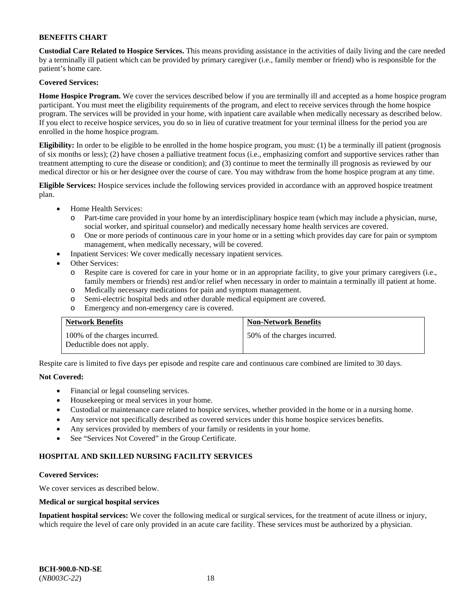**Custodial Care Related to Hospice Services.** This means providing assistance in the activities of daily living and the care needed by a terminally ill patient which can be provided by primary caregiver (i.e., family member or friend) who is responsible for the patient's home care.

# **Covered Services:**

**Home Hospice Program.** We cover the services described below if you are terminally ill and accepted as a home hospice program participant. You must meet the eligibility requirements of the program, and elect to receive services through the home hospice program. The services will be provided in your home, with inpatient care available when medically necessary as described below. If you elect to receive hospice services, you do so in lieu of curative treatment for your terminal illness for the period you are enrolled in the home hospice program.

**Eligibility:** In order to be eligible to be enrolled in the home hospice program, you must: (1) be a terminally ill patient (prognosis of six months or less); (2) have chosen a palliative treatment focus (i.e., emphasizing comfort and supportive services rather than treatment attempting to cure the disease or condition); and (3) continue to meet the terminally ill prognosis as reviewed by our medical director or his or her designee over the course of care. You may withdraw from the home hospice program at any time.

**Eligible Services:** Hospice services include the following services provided in accordance with an approved hospice treatment plan.

- Home Health Services:
	- o Part-time care provided in your home by an interdisciplinary hospice team (which may include a physician, nurse, social worker, and spiritual counselor) and medically necessary home health services are covered.
	- o One or more periods of continuous care in your home or in a setting which provides day care for pain or symptom management, when medically necessary, will be covered.
	- Inpatient Services: We cover medically necessary inpatient services.
- Other Services:
	- o Respite care is covered for care in your home or in an appropriate facility, to give your primary caregivers (i.e., family members or friends) rest and/or relief when necessary in order to maintain a terminally ill patient at home.
	- o Medically necessary medications for pain and symptom management.
	- o Semi-electric hospital beds and other durable medical equipment are covered.
	- o Emergency and non-emergency care is covered.

| <b>Network Benefits</b>                                     | <b>Non-Network Benefits</b>  |
|-------------------------------------------------------------|------------------------------|
| 100% of the charges incurred.<br>Deductible does not apply. | 50% of the charges incurred. |

Respite care is limited to five days per episode and respite care and continuous care combined are limited to 30 days.

# **Not Covered:**

- Financial or legal counseling services.
- Housekeeping or meal services in your home.
- Custodial or maintenance care related to hospice services, whether provided in the home or in a nursing home.
- Any service not specifically described as covered services under this home hospice services benefits.
- Any services provided by members of your family or residents in your home.
- See "Services Not Covered" in the Group Certificate.

# **HOSPITAL AND SKILLED NURSING FACILITY SERVICES**

#### **Covered Services:**

We cover services as described below.

#### **Medical or surgical hospital services**

**Inpatient hospital services:** We cover the following medical or surgical services, for the treatment of acute illness or injury, which require the level of care only provided in an acute care facility. These services must be authorized by a physician.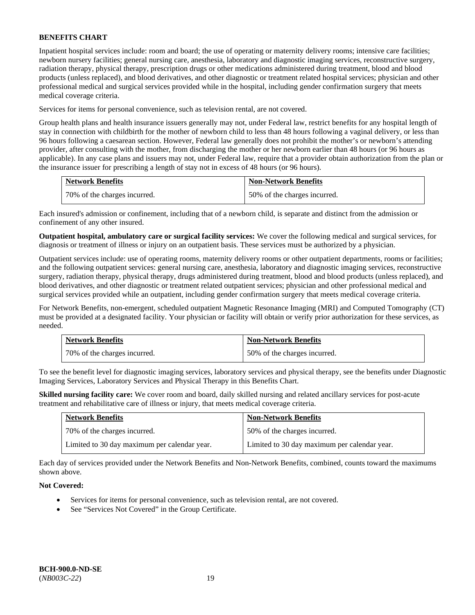Inpatient hospital services include: room and board; the use of operating or maternity delivery rooms; intensive care facilities; newborn nursery facilities; general nursing care, anesthesia, laboratory and diagnostic imaging services, reconstructive surgery, radiation therapy, physical therapy, prescription drugs or other medications administered during treatment, blood and blood products (unless replaced), and blood derivatives, and other diagnostic or treatment related hospital services; physician and other professional medical and surgical services provided while in the hospital, including gender confirmation surgery that meets medical coverage criteria.

Services for items for personal convenience, such as television rental, are not covered.

Group health plans and health insurance issuers generally may not, under Federal law, restrict benefits for any hospital length of stay in connection with childbirth for the mother of newborn child to less than 48 hours following a vaginal delivery, or less than 96 hours following a caesarean section. However, Federal law generally does not prohibit the mother's or newborn's attending provider, after consulting with the mother, from discharging the mother or her newborn earlier than 48 hours (or 96 hours as applicable). In any case plans and issuers may not, under Federal law, require that a provider obtain authorization from the plan or the insurance issuer for prescribing a length of stay not in excess of 48 hours (or 96 hours).

| <b>Network Benefits</b>      | <b>Non-Network Benefits</b>  |
|------------------------------|------------------------------|
| 70% of the charges incurred. | 50% of the charges incurred. |

Each insured's admission or confinement, including that of a newborn child, is separate and distinct from the admission or confinement of any other insured.

**Outpatient hospital, ambulatory care or surgical facility services:** We cover the following medical and surgical services, for diagnosis or treatment of illness or injury on an outpatient basis. These services must be authorized by a physician.

Outpatient services include: use of operating rooms, maternity delivery rooms or other outpatient departments, rooms or facilities; and the following outpatient services: general nursing care, anesthesia, laboratory and diagnostic imaging services, reconstructive surgery, radiation therapy, physical therapy, drugs administered during treatment, blood and blood products (unless replaced), and blood derivatives, and other diagnostic or treatment related outpatient services; physician and other professional medical and surgical services provided while an outpatient, including gender confirmation surgery that meets medical coverage criteria.

For Network Benefits, non-emergent, scheduled outpatient Magnetic Resonance Imaging (MRI) and Computed Tomography (CT) must be provided at a designated facility. Your physician or facility will obtain or verify prior authorization for these services, as needed.

| <b>Network Benefits</b>      | <b>Non-Network Benefits</b>  |
|------------------------------|------------------------------|
| 70% of the charges incurred. | 50% of the charges incurred. |

To see the benefit level for diagnostic imaging services, laboratory services and physical therapy, see the benefits under Diagnostic Imaging Services, Laboratory Services and Physical Therapy in this Benefits Chart.

**Skilled nursing facility care:** We cover room and board, daily skilled nursing and related ancillary services for post-acute treatment and rehabilitative care of illness or injury, that meets medical coverage criteria.

| <b>Network Benefits</b>                      | <b>Non-Network Benefits</b>                  |
|----------------------------------------------|----------------------------------------------|
| 70% of the charges incurred.                 | 50% of the charges incurred.                 |
| Limited to 30 day maximum per calendar year. | Limited to 30 day maximum per calendar year. |

Each day of services provided under the Network Benefits and Non-Network Benefits, combined, counts toward the maximums shown above.

# **Not Covered:**

- Services for items for personal convenience, such as television rental, are not covered.
- See "Services Not Covered" in the Group Certificate.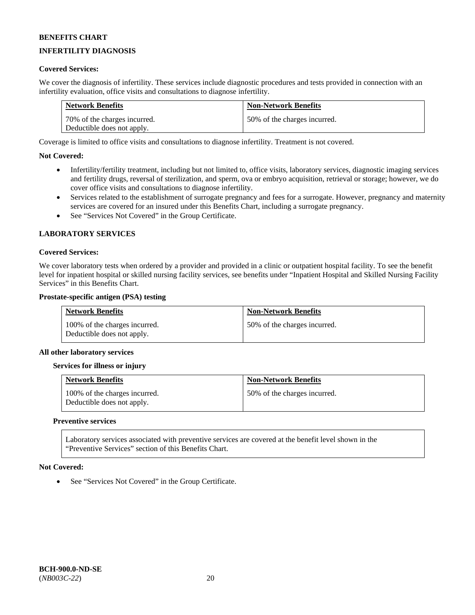# **INFERTILITY DIAGNOSIS**

### **Covered Services:**

We cover the diagnosis of infertility. These services include diagnostic procedures and tests provided in connection with an infertility evaluation, office visits and consultations to diagnose infertility.

| <b>Network Benefits</b>      | <b>Non-Network Benefits</b>  |
|------------------------------|------------------------------|
| 70% of the charges incurred. | 50% of the charges incurred. |
| Deductible does not apply.   |                              |

Coverage is limited to office visits and consultations to diagnose infertility. Treatment is not covered.

### **Not Covered:**

- Infertility/fertility treatment, including but not limited to, office visits, laboratory services, diagnostic imaging services and fertility drugs, reversal of sterilization, and sperm, ova or embryo acquisition, retrieval or storage; however, we do cover office visits and consultations to diagnose infertility.
- Services related to the establishment of surrogate pregnancy and fees for a surrogate. However, pregnancy and maternity services are covered for an insured under this Benefits Chart, including a surrogate pregnancy.
- See "Services Not Covered" in the Group Certificate.

### **LABORATORY SERVICES**

#### **Covered Services:**

We cover laboratory tests when ordered by a provider and provided in a clinic or outpatient hospital facility. To see the benefit level for inpatient hospital or skilled nursing facility services, see benefits under "Inpatient Hospital and Skilled Nursing Facility Services" in this Benefits Chart.

#### **Prostate-specific antigen (PSA) testing**

| <b>Network Benefits</b>                                     | <b>Non-Network Benefits</b>  |
|-------------------------------------------------------------|------------------------------|
| 100% of the charges incurred.<br>Deductible does not apply. | 50% of the charges incurred. |

#### **All other laboratory services**

#### **Services for illness or injury**

| <b>Network Benefits</b>                                     | <b>Non-Network Benefits</b>  |
|-------------------------------------------------------------|------------------------------|
| 100% of the charges incurred.<br>Deductible does not apply. | 50% of the charges incurred. |

#### **Preventive services**

Laboratory services associated with preventive services are covered at the benefit level shown in the "Preventive Services" section of this Benefits Chart.

#### **Not Covered:**

See "Services Not Covered" in the Group Certificate.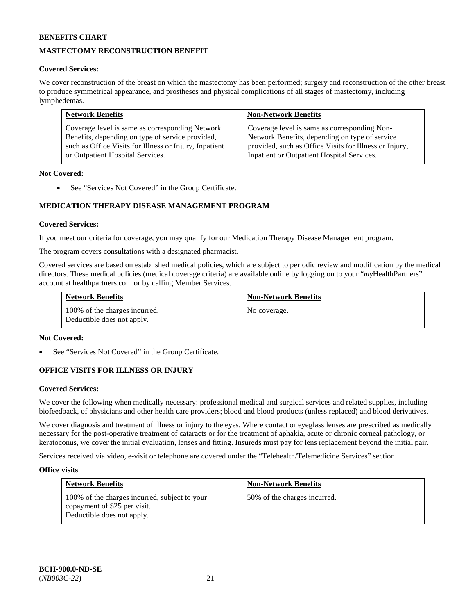# **MASTECTOMY RECONSTRUCTION BENEFIT**

### **Covered Services:**

We cover reconstruction of the breast on which the mastectomy has been performed; surgery and reconstruction of the other breast to produce symmetrical appearance, and prostheses and physical complications of all stages of mastectomy, including lymphedemas.

| <b>Network Benefits</b>                                | <b>Non-Network Benefits</b>                            |
|--------------------------------------------------------|--------------------------------------------------------|
| Coverage level is same as corresponding Network        | Coverage level is same as corresponding Non-           |
| Benefits, depending on type of service provided,       | Network Benefits, depending on type of service         |
| such as Office Visits for Illness or Injury, Inpatient | provided, such as Office Visits for Illness or Injury, |
| or Outpatient Hospital Services.                       | Inpatient or Outpatient Hospital Services.             |

### **Not Covered:**

• See "Services Not Covered" in the Group Certificate.

# **MEDICATION THERAPY DISEASE MANAGEMENT PROGRAM**

### **Covered Services:**

If you meet our criteria for coverage, you may qualify for our Medication Therapy Disease Management program.

The program covers consultations with a designated pharmacist.

Covered services are based on established medical policies, which are subject to periodic review and modification by the medical directors. These medical policies (medical coverage criteria) are available online by logging on to your "*my*HealthPartners" account a[t healthpartners.com](http://www.healthpartners.com/) or by calling Member Services.

| <b>Network Benefits</b>                                     | <b>Non-Network Benefits</b> |
|-------------------------------------------------------------|-----------------------------|
| 100% of the charges incurred.<br>Deductible does not apply. | No coverage.                |

#### **Not Covered:**

See "Services Not Covered" in the Group Certificate.

# **OFFICE VISITS FOR ILLNESS OR INJURY**

#### **Covered Services:**

We cover the following when medically necessary: professional medical and surgical services and related supplies, including biofeedback, of physicians and other health care providers; blood and blood products (unless replaced) and blood derivatives.

We cover diagnosis and treatment of illness or injury to the eyes. Where contact or eyeglass lenses are prescribed as medically necessary for the post-operative treatment of cataracts or for the treatment of aphakia, acute or chronic corneal pathology, or keratoconus, we cover the initial evaluation, lenses and fitting. Insureds must pay for lens replacement beyond the initial pair.

Services received via video, e-visit or telephone are covered under the "Telehealth/Telemedicine Services" section.

#### **Office visits**

| <b>Network Benefits</b>                                                                                     | <b>Non-Network Benefits</b>  |
|-------------------------------------------------------------------------------------------------------------|------------------------------|
| 100% of the charges incurred, subject to your<br>copayment of \$25 per visit.<br>Deductible does not apply. | 50% of the charges incurred. |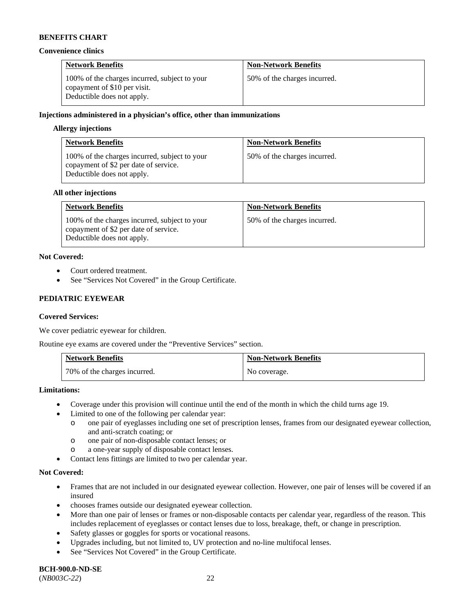#### **Convenience clinics**

| <b>Network Benefits</b>                                                                                     | <b>Non-Network Benefits</b>  |
|-------------------------------------------------------------------------------------------------------------|------------------------------|
| 100% of the charges incurred, subject to your<br>copayment of \$10 per visit.<br>Deductible does not apply. | 50% of the charges incurred. |

## **Injections administered in a physician's office, other than immunizations**

### **Allergy injections**

| <b>Network Benefits</b>                                                                                              | <b>Non-Network Benefits</b>  |
|----------------------------------------------------------------------------------------------------------------------|------------------------------|
| 100% of the charges incurred, subject to your<br>copayment of \$2 per date of service.<br>Deductible does not apply. | 50% of the charges incurred. |

#### **All other injections**

| <b>Network Benefits</b>                                                                                              | <b>Non-Network Benefits</b>  |
|----------------------------------------------------------------------------------------------------------------------|------------------------------|
| 100% of the charges incurred, subject to your<br>copayment of \$2 per date of service.<br>Deductible does not apply. | 50% of the charges incurred. |

### **Not Covered:**

- Court ordered treatment.
- See "Services Not Covered" in the Group Certificate.

# **PEDIATRIC EYEWEAR**

# **Covered Services:**

We cover pediatric eyewear for children.

Routine eye exams are covered under the "Preventive Services" section.

| <b>Network Benefits</b>      | <b>Non-Network Benefits</b> |
|------------------------------|-----------------------------|
| 70% of the charges incurred. | No coverage.                |

#### **Limitations:**

- Coverage under this provision will continue until the end of the month in which the child turns age 19.
- Limited to one of the following per calendar year:
	- o one pair of eyeglasses including one set of prescription lenses, frames from our designated eyewear collection, and anti-scratch coating; or
	- o one pair of non-disposable contact lenses; or
	- o a one-year supply of disposable contact lenses.
- Contact lens fittings are limited to two per calendar year.

#### **Not Covered:**

- Frames that are not included in our designated eyewear collection. However, one pair of lenses will be covered if an insured
- chooses frames outside our designated eyewear collection.
- More than one pair of lenses or frames or non-disposable contacts per calendar year, regardless of the reason. This includes replacement of eyeglasses or contact lenses due to loss, breakage, theft, or change in prescription.
- Safety glasses or goggles for sports or vocational reasons.
- Upgrades including, but not limited to, UV protection and no-line multifocal lenses.
- See "Services Not Covered" in the Group Certificate.

**BCH-900.0-ND-SE** (*NB003C-22*) 22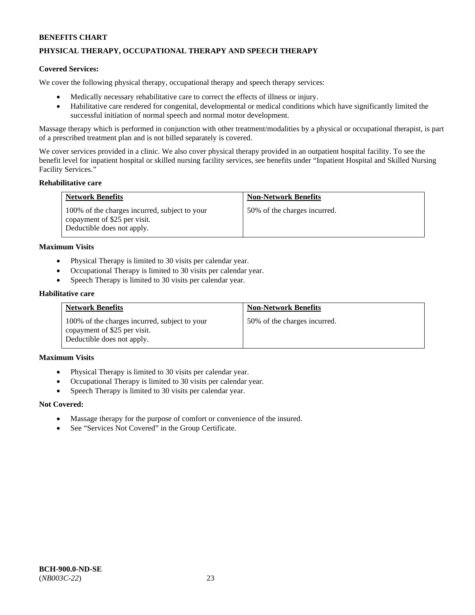# **PHYSICAL THERAPY, OCCUPATIONAL THERAPY AND SPEECH THERAPY**

### **Covered Services:**

We cover the following physical therapy, occupational therapy and speech therapy services:

- Medically necessary rehabilitative care to correct the effects of illness or injury.
- Habilitative care rendered for congenital, developmental or medical conditions which have significantly limited the successful initiation of normal speech and normal motor development.

Massage therapy which is performed in conjunction with other treatment/modalities by a physical or occupational therapist, is part of a prescribed treatment plan and is not billed separately is covered.

We cover services provided in a clinic. We also cover physical therapy provided in an outpatient hospital facility. To see the benefit level for inpatient hospital or skilled nursing facility services, see benefits under "Inpatient Hospital and Skilled Nursing Facility Services."

#### **Rehabilitative care**

| <b>Network Benefits</b>                                                                                     | <b>Non-Network Benefits</b>  |
|-------------------------------------------------------------------------------------------------------------|------------------------------|
| 100% of the charges incurred, subject to your<br>copayment of \$25 per visit.<br>Deductible does not apply. | 50% of the charges incurred. |

#### **Maximum Visits**

- Physical Therapy is limited to 30 visits per calendar year.
- Occupational Therapy is limited to 30 visits per calendar year.
- Speech Therapy is limited to 30 visits per calendar year.

#### **Habilitative care**

| <b>Network Benefits</b>                                                                                     | <b>Non-Network Benefits</b>  |
|-------------------------------------------------------------------------------------------------------------|------------------------------|
| 100% of the charges incurred, subject to your<br>copayment of \$25 per visit.<br>Deductible does not apply. | 50% of the charges incurred. |

### **Maximum Visits**

- Physical Therapy is limited to 30 visits per calendar year.
- Occupational Therapy is limited to 30 visits per calendar year.
- Speech Therapy is limited to 30 visits per calendar year.

#### **Not Covered:**

- Massage therapy for the purpose of comfort or convenience of the insured.
- See "Services Not Covered" in the Group Certificate.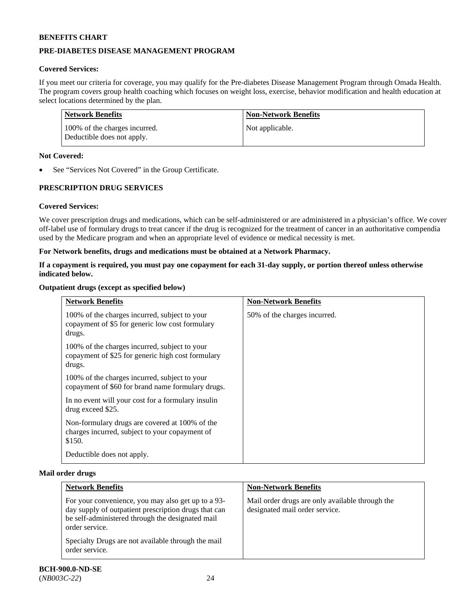# **PRE-DIABETES DISEASE MANAGEMENT PROGRAM**

# **Covered Services:**

If you meet our criteria for coverage, you may qualify for the Pre-diabetes Disease Management Program through Omada Health. The program covers group health coaching which focuses on weight loss, exercise, behavior modification and health education at select locations determined by the plan.

| Network Benefits                                            | <b>Non-Network Benefits</b> |
|-------------------------------------------------------------|-----------------------------|
| 100% of the charges incurred.<br>Deductible does not apply. | Not applicable.             |

### **Not Covered:**

See "Services Not Covered" in the Group Certificate.

# **PRESCRIPTION DRUG SERVICES**

# **Covered Services:**

We cover prescription drugs and medications, which can be self-administered or are administered in a physician's office. We cover off-label use of formulary drugs to treat cancer if the drug is recognized for the treatment of cancer in an authoritative compendia used by the Medicare program and when an appropriate level of evidence or medical necessity is met.

### **For Network benefits, drugs and medications must be obtained at a Network Pharmacy.**

### **If a copayment is required, you must pay one copayment for each 31-day supply, or portion thereof unless otherwise indicated below.**

### **Outpatient drugs (except as specified below)**

| <b>Network Benefits</b>                                                                                      | <b>Non-Network Benefits</b>  |
|--------------------------------------------------------------------------------------------------------------|------------------------------|
| 100% of the charges incurred, subject to your<br>copayment of \$5 for generic low cost formulary<br>drugs.   | 50% of the charges incurred. |
| 100% of the charges incurred, subject to your<br>copayment of \$25 for generic high cost formulary<br>drugs. |                              |
| 100% of the charges incurred, subject to your<br>copayment of \$60 for brand name formulary drugs.           |                              |
| In no event will your cost for a formulary insulin<br>drug exceed \$25.                                      |                              |
| Non-formulary drugs are covered at 100% of the<br>charges incurred, subject to your copayment of<br>\$150.   |                              |
| Deductible does not apply.                                                                                   |                              |

#### **Mail order drugs**

| <b>Network Benefits</b>                                                                                                                                                          | <b>Non-Network Benefits</b>                                                       |
|----------------------------------------------------------------------------------------------------------------------------------------------------------------------------------|-----------------------------------------------------------------------------------|
| For your convenience, you may also get up to a 93-<br>day supply of outpatient prescription drugs that can<br>be self-administered through the designated mail<br>order service. | Mail order drugs are only available through the<br>designated mail order service. |
| Specialty Drugs are not available through the mail<br>order service.                                                                                                             |                                                                                   |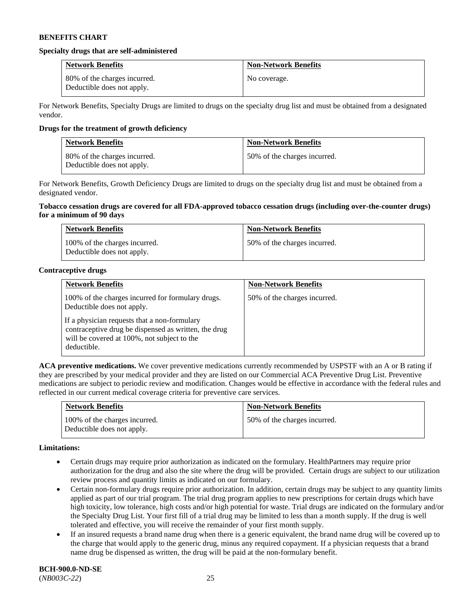#### **Specialty drugs that are self-administered**

| <b>Network Benefits</b>                                    | <b>Non-Network Benefits</b> |
|------------------------------------------------------------|-----------------------------|
| 80% of the charges incurred.<br>Deductible does not apply. | No coverage.                |

For Network Benefits, Specialty Drugs are limited to drugs on the specialty drug list and must be obtained from a designated vendor.

### **Drugs for the treatment of growth deficiency**

| <b>Network Benefits</b>                                    | <b>Non-Network Benefits</b>  |
|------------------------------------------------------------|------------------------------|
| 80% of the charges incurred.<br>Deductible does not apply. | 50% of the charges incurred. |

For Network Benefits, Growth Deficiency Drugs are limited to drugs on the specialty drug list and must be obtained from a designated vendor.

### **Tobacco cessation drugs are covered for all FDA-approved tobacco cessation drugs (including over-the-counter drugs) for a minimum of 90 days**

| <b>Network Benefits</b>                                     | <b>Non-Network Benefits</b>  |
|-------------------------------------------------------------|------------------------------|
| 100% of the charges incurred.<br>Deductible does not apply. | 50% of the charges incurred. |

### **Contraceptive drugs**

| <b>Network Benefits</b>                                                                                                                                            | <b>Non-Network Benefits</b>  |
|--------------------------------------------------------------------------------------------------------------------------------------------------------------------|------------------------------|
| 100% of the charges incurred for formulary drugs.<br>Deductible does not apply.                                                                                    | 50% of the charges incurred. |
| If a physician requests that a non-formulary<br>contraceptive drug be dispensed as written, the drug<br>will be covered at 100%, not subject to the<br>deductible. |                              |

**ACA preventive medications.** We cover preventive medications currently recommended by USPSTF with an A or B rating if they are prescribed by your medical provider and they are listed on our Commercial ACA Preventive Drug List. Preventive medications are subject to periodic review and modification. Changes would be effective in accordance with the federal rules and reflected in our current medical coverage criteria for preventive care services.

| <b>Network Benefits</b>                                     | <b>Non-Network Benefits</b>  |
|-------------------------------------------------------------|------------------------------|
| 100% of the charges incurred.<br>Deductible does not apply. | 50% of the charges incurred. |

#### **Limitations:**

- Certain drugs may require prior authorization as indicated on the formulary. HealthPartners may require prior authorization for the drug and also the site where the drug will be provided. Certain drugs are subject to our utilization review process and quantity limits as indicated on our formulary.
- Certain non-formulary drugs require prior authorization. In addition, certain drugs may be subject to any quantity limits applied as part of our trial program. The trial drug program applies to new prescriptions for certain drugs which have high toxicity, low tolerance, high costs and/or high potential for waste. Trial drugs are indicated on the formulary and/or the Specialty Drug List. Your first fill of a trial drug may be limited to less than a month supply. If the drug is well tolerated and effective, you will receive the remainder of your first month supply.
- If an insured requests a brand name drug when there is a generic equivalent, the brand name drug will be covered up to the charge that would apply to the generic drug, minus any required copayment. If a physician requests that a brand name drug be dispensed as written, the drug will be paid at the non-formulary benefit.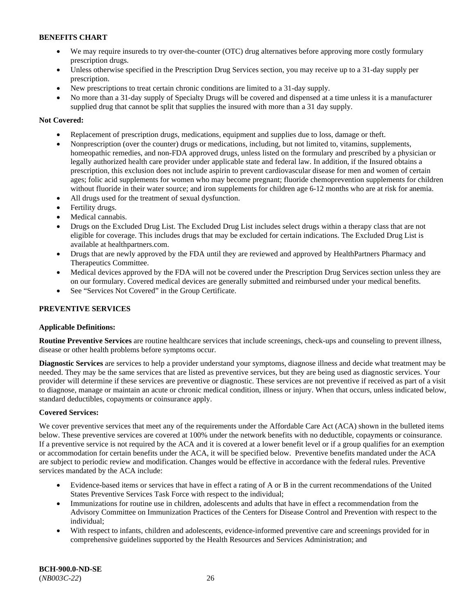- We may require insureds to try over-the-counter (OTC) drug alternatives before approving more costly formulary prescription drugs.
- Unless otherwise specified in the Prescription Drug Services section, you may receive up to a 31-day supply per prescription.
- New prescriptions to treat certain chronic conditions are limited to a 31-day supply.
- No more than a 31-day supply of Specialty Drugs will be covered and dispensed at a time unless it is a manufacturer supplied drug that cannot be split that supplies the insured with more than a 31 day supply.

# **Not Covered:**

- Replacement of prescription drugs, medications, equipment and supplies due to loss, damage or theft.
- Nonprescription (over the counter) drugs or medications, including, but not limited to, vitamins, supplements, homeopathic remedies, and non-FDA approved drugs, unless listed on the formulary and prescribed by a physician or legally authorized health care provider under applicable state and federal law. In addition, if the Insured obtains a prescription, this exclusion does not include aspirin to prevent cardiovascular disease for men and women of certain ages; folic acid supplements for women who may become pregnant; fluoride chemoprevention supplements for children without fluoride in their water source; and iron supplements for children age 6-12 months who are at risk for anemia.
- All drugs used for the treatment of sexual dysfunction.
- Fertility drugs.
- Medical cannabis.
- Drugs on the Excluded Drug List. The Excluded Drug List includes select drugs within a therapy class that are not eligible for coverage. This includes drugs that may be excluded for certain indications. The Excluded Drug List is available at [healthpartners.com.](http://www.healthpartners.com/)
- Drugs that are newly approved by the FDA until they are reviewed and approved by HealthPartners Pharmacy and Therapeutics Committee.
- Medical devices approved by the FDA will not be covered under the Prescription Drug Services section unless they are on our formulary. Covered medical devices are generally submitted and reimbursed under your medical benefits.
- See "Services Not Covered" in the Group Certificate.

# **PREVENTIVE SERVICES**

# **Applicable Definitions:**

**Routine Preventive Services** are routine healthcare services that include screenings, check-ups and counseling to prevent illness, disease or other health problems before symptoms occur.

**Diagnostic Services** are services to help a provider understand your symptoms, diagnose illness and decide what treatment may be needed. They may be the same services that are listed as preventive services, but they are being used as diagnostic services. Your provider will determine if these services are preventive or diagnostic. These services are not preventive if received as part of a visit to diagnose, manage or maintain an acute or chronic medical condition, illness or injury. When that occurs, unless indicated below, standard deductibles, copayments or coinsurance apply.

# **Covered Services:**

We cover preventive services that meet any of the requirements under the Affordable Care Act (ACA) shown in the bulleted items below. These preventive services are covered at 100% under the network benefits with no deductible, copayments or coinsurance. If a preventive service is not required by the ACA and it is covered at a lower benefit level or if a group qualifies for an exemption or accommodation for certain benefits under the ACA, it will be specified below. Preventive benefits mandated under the ACA are subject to periodic review and modification. Changes would be effective in accordance with the federal rules. Preventive services mandated by the ACA include:

- Evidence-based items or services that have in effect a rating of A or B in the current recommendations of the United States Preventive Services Task Force with respect to the individual;
- Immunizations for routine use in children, adolescents and adults that have in effect a recommendation from the Advisory Committee on Immunization Practices of the Centers for Disease Control and Prevention with respect to the individual;
- With respect to infants, children and adolescents, evidence-informed preventive care and screenings provided for in comprehensive guidelines supported by the Health Resources and Services Administration; and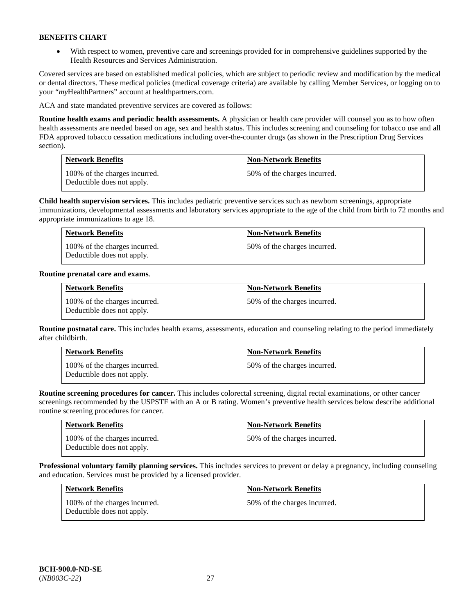• With respect to women, preventive care and screenings provided for in comprehensive guidelines supported by the Health Resources and Services Administration.

Covered services are based on established medical policies, which are subject to periodic review and modification by the medical or dental directors. These medical policies (medical coverage criteria) are available by calling Member Services, or logging on to your "*my*HealthPartners" account at [healthpartners.com.](http://www.healthpartners.com/) 

ACA and state mandated preventive services are covered as follows:

**Routine health exams and periodic health assessments.** A physician or health care provider will counsel you as to how often health assessments are needed based on age, sex and health status. This includes screening and counseling for tobacco use and all FDA approved tobacco cessation medications including over-the-counter drugs (as shown in the Prescription Drug Services section).

| <b>Network Benefits</b>                                     | <b>Non-Network Benefits</b>  |
|-------------------------------------------------------------|------------------------------|
| 100% of the charges incurred.<br>Deductible does not apply. | 50% of the charges incurred. |

**Child health supervision services.** This includes pediatric preventive services such as newborn screenings, appropriate immunizations, developmental assessments and laboratory services appropriate to the age of the child from birth to 72 months and appropriate immunizations to age 18.

| <b>Network Benefits</b>                                     | <b>Non-Network Benefits</b>  |
|-------------------------------------------------------------|------------------------------|
| 100% of the charges incurred.<br>Deductible does not apply. | 50% of the charges incurred. |

# **Routine prenatal care and exams**.

| <b>Network Benefits</b>                                     | <b>Non-Network Benefits</b>  |
|-------------------------------------------------------------|------------------------------|
| 100% of the charges incurred.<br>Deductible does not apply. | 50% of the charges incurred. |

**Routine postnatal care.** This includes health exams, assessments, education and counseling relating to the period immediately after childbirth.

| <b>Network Benefits</b>                                     | <b>Non-Network Benefits</b>  |
|-------------------------------------------------------------|------------------------------|
| 100% of the charges incurred.<br>Deductible does not apply. | 50% of the charges incurred. |

**Routine screening procedures for cancer.** This includes colorectal screening, digital rectal examinations, or other cancer screenings recommended by the USPSTF with an A or B rating. Women's preventive health services below describe additional routine screening procedures for cancer.

| <b>Network Benefits</b>                                     | <b>Non-Network Benefits</b>  |
|-------------------------------------------------------------|------------------------------|
| 100% of the charges incurred.<br>Deductible does not apply. | 50% of the charges incurred. |

**Professional voluntary family planning services.** This includes services to prevent or delay a pregnancy, including counseling and education. Services must be provided by a licensed provider.

| <b>Network Benefits</b>                                     | <b>Non-Network Benefits</b>  |
|-------------------------------------------------------------|------------------------------|
| 100% of the charges incurred.<br>Deductible does not apply. | 50% of the charges incurred. |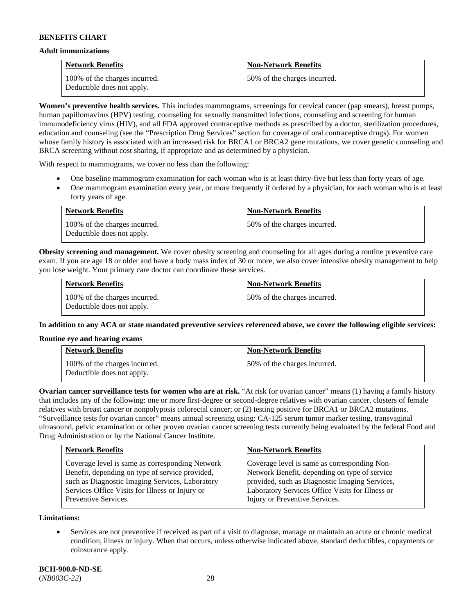#### **Adult immunizations**

| <b>Network Benefits</b>                                     | <b>Non-Network Benefits</b>  |
|-------------------------------------------------------------|------------------------------|
| 100% of the charges incurred.<br>Deductible does not apply. | 50% of the charges incurred. |

**Women's preventive health services.** This includes mammograms, screenings for cervical cancer (pap smears), breast pumps, human papillomavirus (HPV) testing, counseling for sexually transmitted infections, counseling and screening for human immunodeficiency virus (HIV), and all FDA approved contraceptive methods as prescribed by a doctor, sterilization procedures, education and counseling (see the "Prescription Drug Services" section for coverage of oral contraceptive drugs). For women whose family history is associated with an increased risk for BRCA1 or BRCA2 gene mutations, we cover genetic counseling and BRCA screening without cost sharing, if appropriate and as determined by a physician.

With respect to mammograms, we cover no less than the following:

- One baseline mammogram examination for each woman who is at least thirty-five but less than forty years of age.
- One mammogram examination every year, or more frequently if ordered by a physician, for each woman who is at least forty years of age.

| <b>Network Benefits</b>                                     | <b>Non-Network Benefits</b>  |
|-------------------------------------------------------------|------------------------------|
| 100% of the charges incurred.<br>Deductible does not apply. | 50% of the charges incurred. |

**Obesity screening and management.** We cover obesity screening and counseling for all ages during a routine preventive care exam. If you are age 18 or older and have a body mass index of 30 or more, we also cover intensive obesity management to help you lose weight. Your primary care doctor can coordinate these services.

| <b>Network Benefits</b>                                     | <b>Non-Network Benefits</b>  |
|-------------------------------------------------------------|------------------------------|
| 100% of the charges incurred.<br>Deductible does not apply. | 50% of the charges incurred. |

**In addition to any ACA or state mandated preventive services referenced above, we cover the following eligible services:**

# **Routine eye and hearing exams**

| <b>Network Benefits</b>                                     | <b>Non-Network Benefits</b>  |
|-------------------------------------------------------------|------------------------------|
| 100% of the charges incurred.<br>Deductible does not apply. | 50% of the charges incurred. |

**Ovarian cancer surveillance tests for women who are at risk.** "At risk for ovarian cancer" means (1) having a family history that includes any of the following: one or more first-degree or second-degree relatives with ovarian cancer, clusters of female relatives with breast cancer or nonpolyposis colorectal cancer; or (2) testing positive for BRCA1 or BRCA2 mutations. "Surveillance tests for ovarian cancer" means annual screening using: CA-125 serum tumor marker testing, transvaginal ultrasound, pelvic examination or other proven ovarian cancer screening tests currently being evaluated by the federal Food and Drug Administration or by the National Cancer Institute.

| <b>Network Benefits</b>                         | <b>Non-Network Benefits</b>                      |
|-------------------------------------------------|--------------------------------------------------|
| Coverage level is same as corresponding Network | Coverage level is same as corresponding Non-     |
| Benefit, depending on type of service provided, | Network Benefit, depending on type of service    |
| such as Diagnostic Imaging Services, Laboratory | provided, such as Diagnostic Imaging Services,   |
| Services Office Visits for Illness or Injury or | Laboratory Services Office Visits for Illness or |
| Preventive Services.                            | Injury or Preventive Services.                   |

**Limitations:**

• Services are not preventive if received as part of a visit to diagnose, manage or maintain an acute or chronic medical condition, illness or injury. When that occurs, unless otherwise indicated above, standard deductibles, copayments or coinsurance apply.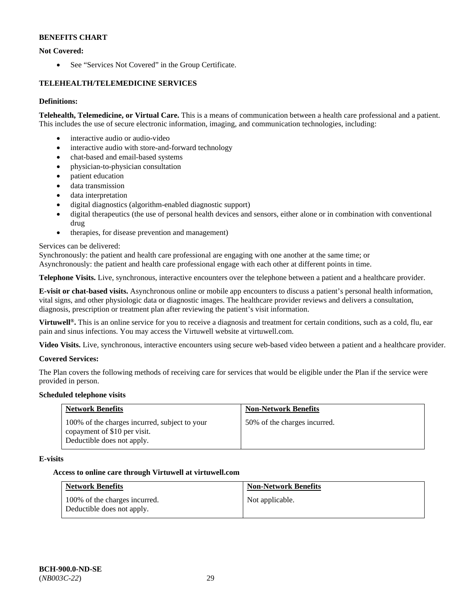# **Not Covered:**

• See "Services Not Covered" in the Group Certificate.

# **TELEHEALTH/TELEMEDICINE SERVICES**

# **Definitions:**

**Telehealth, Telemedicine, or Virtual Care.** This is a means of communication between a health care professional and a patient. This includes the use of secure electronic information, imaging, and communication technologies, including:

- interactive audio or audio-video
- interactive audio with store-and-forward technology
- chat-based and email-based systems
- physician-to-physician consultation
- patient education
- data transmission
- data interpretation
- digital diagnostics (algorithm-enabled diagnostic support)
- digital therapeutics (the use of personal health devices and sensors, either alone or in combination with conventional drug
- therapies, for disease prevention and management)

# Services can be delivered:

Synchronously: the patient and health care professional are engaging with one another at the same time; or

Asynchronously: the patient and health care professional engage with each other at different points in time.

**Telephone Visits.** Live, synchronous, interactive encounters over the telephone between a patient and a healthcare provider.

**E-visit or chat-based visits.** Asynchronous online or mobile app encounters to discuss a patient's personal health information, vital signs, and other physiologic data or diagnostic images. The healthcare provider reviews and delivers a consultation, diagnosis, prescription or treatment plan after reviewing the patient's visit information.

**Virtuwell®.** This is an online service for you to receive a diagnosis and treatment for certain conditions, such as a cold, flu, ear pain and sinus infections. You may access the Virtuwell website at [virtuwell.com.](https://www.virtuwell.com/)

**Video Visits.** Live, synchronous, interactive encounters using secure web-based video between a patient and a healthcare provider.

# **Covered Services:**

The Plan covers the following methods of receiving care for services that would be eligible under the Plan if the service were provided in person.

# **Scheduled telephone visits**

| <b>Network Benefits</b>                                                                                     | <b>Non-Network Benefits</b>  |
|-------------------------------------------------------------------------------------------------------------|------------------------------|
| 100% of the charges incurred, subject to your<br>copayment of \$10 per visit.<br>Deductible does not apply. | 50% of the charges incurred. |

# **E-visits**

# **Access to online care through Virtuwell at [virtuwell.com](https://www.virtuwell.com/)**

| <b>Network Benefits</b>                                     | <b>Non-Network Benefits</b> |
|-------------------------------------------------------------|-----------------------------|
| 100% of the charges incurred.<br>Deductible does not apply. | Not applicable.             |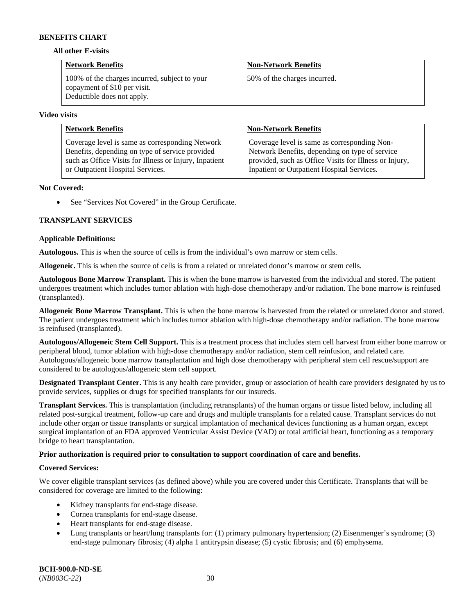#### **All other E-visits**

| <b>Network Benefits</b>                                                                                     | <b>Non-Network Benefits</b>  |
|-------------------------------------------------------------------------------------------------------------|------------------------------|
| 100% of the charges incurred, subject to your<br>copayment of \$10 per visit.<br>Deductible does not apply. | 50% of the charges incurred. |

#### **Video visits**

| <b>Network Benefits</b>                                | <b>Non-Network Benefits</b>                            |
|--------------------------------------------------------|--------------------------------------------------------|
| Coverage level is same as corresponding Network        | Coverage level is same as corresponding Non-           |
| Benefits, depending on type of service provided        | Network Benefits, depending on type of service         |
| such as Office Visits for Illness or Injury, Inpatient | provided, such as Office Visits for Illness or Injury, |
| or Outpatient Hospital Services.                       | Inpatient or Outpatient Hospital Services.             |

### **Not Covered:**

• See "Services Not Covered" in the Group Certificate.

# **TRANSPLANT SERVICES**

### **Applicable Definitions:**

**Autologous.** This is when the source of cells is from the individual's own marrow or stem cells.

**Allogeneic.** This is when the source of cells is from a related or unrelated donor's marrow or stem cells.

**Autologous Bone Marrow Transplant.** This is when the bone marrow is harvested from the individual and stored. The patient undergoes treatment which includes tumor ablation with high-dose chemotherapy and/or radiation. The bone marrow is reinfused (transplanted).

**Allogeneic Bone Marrow Transplant.** This is when the bone marrow is harvested from the related or unrelated donor and stored. The patient undergoes treatment which includes tumor ablation with high-dose chemotherapy and/or radiation. The bone marrow is reinfused (transplanted).

**Autologous/Allogeneic Stem Cell Support.** This is a treatment process that includes stem cell harvest from either bone marrow or peripheral blood, tumor ablation with high-dose chemotherapy and/or radiation, stem cell reinfusion, and related care. Autologous/allogeneic bone marrow transplantation and high dose chemotherapy with peripheral stem cell rescue/support are considered to be autologous/allogeneic stem cell support.

**Designated Transplant Center.** This is any health care provider, group or association of health care providers designated by us to provide services, supplies or drugs for specified transplants for our insureds.

**Transplant Services.** This is transplantation (including retransplants) of the human organs or tissue listed below, including all related post-surgical treatment, follow-up care and drugs and multiple transplants for a related cause. Transplant services do not include other organ or tissue transplants or surgical implantation of mechanical devices functioning as a human organ, except surgical implantation of an FDA approved Ventricular Assist Device (VAD) or total artificial heart, functioning as a temporary bridge to heart transplantation.

# **Prior authorization is required prior to consultation to support coordination of care and benefits.**

# **Covered Services:**

We cover eligible transplant services (as defined above) while you are covered under this Certificate. Transplants that will be considered for coverage are limited to the following:

- Kidney transplants for end-stage disease.
- Cornea transplants for end-stage disease.
- Heart transplants for end-stage disease.
- Lung transplants or heart/lung transplants for: (1) primary pulmonary hypertension; (2) Eisenmenger's syndrome; (3) end-stage pulmonary fibrosis; (4) alpha 1 antitrypsin disease; (5) cystic fibrosis; and (6) emphysema.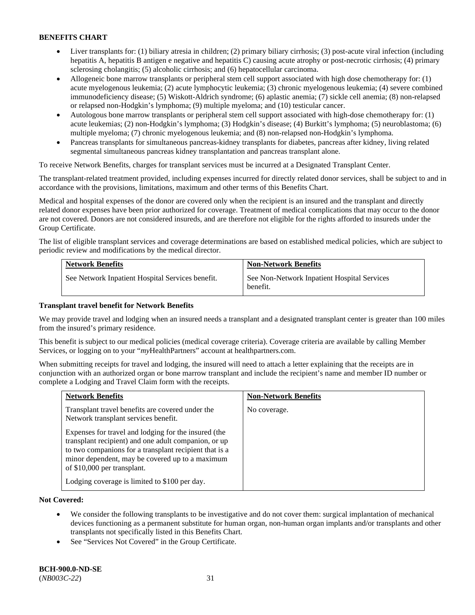- Liver transplants for: (1) biliary atresia in children; (2) primary biliary cirrhosis; (3) post-acute viral infection (including hepatitis A, hepatitis B antigen e negative and hepatitis C) causing acute atrophy or post-necrotic cirrhosis; (4) primary sclerosing cholangitis; (5) alcoholic cirrhosis; and (6) hepatocellular carcinoma.
- Allogeneic bone marrow transplants or peripheral stem cell support associated with high dose chemotherapy for: (1) acute myelogenous leukemia; (2) acute lymphocytic leukemia; (3) chronic myelogenous leukemia; (4) severe combined immunodeficiency disease; (5) Wiskott-Aldrich syndrome; (6) aplastic anemia; (7) sickle cell anemia; (8) non-relapsed or relapsed non-Hodgkin's lymphoma; (9) multiple myeloma; and (10) testicular cancer.
- Autologous bone marrow transplants or peripheral stem cell support associated with high-dose chemotherapy for: (1) acute leukemias; (2) non-Hodgkin's lymphoma; (3) Hodgkin's disease; (4) Burkitt's lymphoma; (5) neuroblastoma; (6) multiple myeloma; (7) chronic myelogenous leukemia; and (8) non-relapsed non-Hodgkin's lymphoma.
- Pancreas transplants for simultaneous pancreas-kidney transplants for diabetes, pancreas after kidney, living related segmental simultaneous pancreas kidney transplantation and pancreas transplant alone.

To receive Network Benefits, charges for transplant services must be incurred at a Designated Transplant Center.

The transplant-related treatment provided, including expenses incurred for directly related donor services, shall be subject to and in accordance with the provisions, limitations, maximum and other terms of this Benefits Chart.

Medical and hospital expenses of the donor are covered only when the recipient is an insured and the transplant and directly related donor expenses have been prior authorized for coverage. Treatment of medical complications that may occur to the donor are not covered. Donors are not considered insureds, and are therefore not eligible for the rights afforded to insureds under the Group Certificate.

The list of eligible transplant services and coverage determinations are based on established medical policies, which are subject to periodic review and modifications by the medical director.

| <b>Network Benefits</b>                          | <b>Non-Network Benefits</b>                             |
|--------------------------------------------------|---------------------------------------------------------|
| See Network Inpatient Hospital Services benefit. | See Non-Network Inpatient Hospital Services<br>benefit. |

# **Transplant travel benefit for Network Benefits**

We may provide travel and lodging when an insured needs a transplant and a designated transplant center is greater than 100 miles from the insured's primary residence.

This benefit is subject to our medical policies (medical coverage criteria). Coverage criteria are available by calling Member Services, or logging on to your "*my*HealthPartners" account a[t healthpartners.com.](http://healthpartners.com/)

When submitting receipts for travel and lodging, the insured will need to attach a letter explaining that the receipts are in conjunction with an authorized organ or bone marrow transplant and include the recipient's name and member ID number or complete a Lodging and Travel Claim form with the receipts.

| <b>Network Benefits</b>                                                                                                                                                                                                                                  | <b>Non-Network Benefits</b> |
|----------------------------------------------------------------------------------------------------------------------------------------------------------------------------------------------------------------------------------------------------------|-----------------------------|
| Transplant travel benefits are covered under the<br>Network transplant services benefit.                                                                                                                                                                 | No coverage.                |
| Expenses for travel and lodging for the insured (the<br>transplant recipient) and one adult companion, or up<br>to two companions for a transplant recipient that is a<br>minor dependent, may be covered up to a maximum<br>of \$10,000 per transplant. |                             |
| Lodging coverage is limited to \$100 per day.                                                                                                                                                                                                            |                             |

# **Not Covered:**

- We consider the following transplants to be investigative and do not cover them: surgical implantation of mechanical devices functioning as a permanent substitute for human organ, non-human organ implants and/or transplants and other transplants not specifically listed in this Benefits Chart.
- See "Services Not Covered" in the Group Certificate.